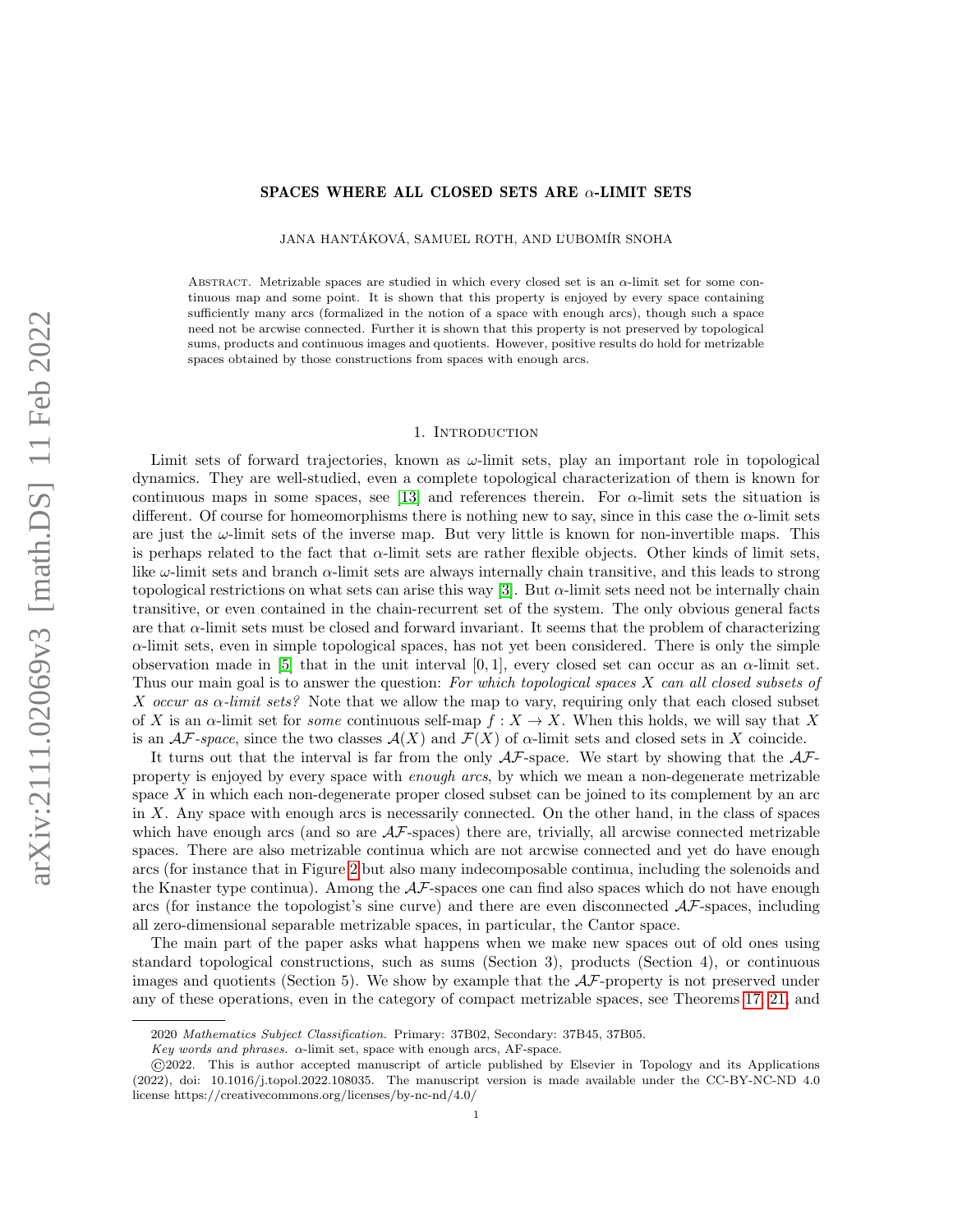## SPACES WHERE ALL CLOSED SETS ARE  $\alpha$ -LIMIT SETS

JANA HANTÁKOVÁ, SAMUEL ROTH, AND L'UBOMÍR SNOHA

ABSTRACT. Metrizable spaces are studied in which every closed set is an  $\alpha$ -limit set for some continuous map and some point. It is shown that this property is enjoyed by every space containing sufficiently many arcs (formalized in the notion of a space with enough arcs), though such a space need not be arcwise connected. Further it is shown that this property is not preserved by topological sums, products and continuous images and quotients. However, positive results do hold for metrizable spaces obtained by those constructions from spaces with enough arcs.

#### 1. Introduction

Limit sets of forward trajectories, known as  $\omega$ -limit sets, play an important role in topological dynamics. They are well-studied, even a complete topological characterization of them is known for continuous maps in some spaces, see [\[13\]](#page-13-0) and references therein. For  $\alpha$ -limit sets the situation is different. Of course for homeomorphisms there is nothing new to say, since in this case the  $\alpha$ -limit sets are just the  $\omega$ -limit sets of the inverse map. But very little is known for non-invertible maps. This is perhaps related to the fact that  $\alpha$ -limit sets are rather flexible objects. Other kinds of limit sets, like  $\omega$ -limit sets and branch  $\alpha$ -limit sets are always internally chain transitive, and this leads to strong topological restrictions on what sets can arise this way [\[3\]](#page-13-1). But  $\alpha$ -limit sets need not be internally chain transitive, or even contained in the chain-recurrent set of the system. The only obvious general facts are that  $\alpha$ -limit sets must be closed and forward invariant. It seems that the problem of characterizing  $\alpha$ -limit sets, even in simple topological spaces, has not yet been considered. There is only the simple observation made in [\[5\]](#page-13-2) that in the unit interval [0, 1], every closed set can occur as an  $\alpha$ -limit set. Thus our main goal is to answer the question: For which topological spaces X can all closed subsets of X occur as  $\alpha$ -limit sets? Note that we allow the map to vary, requiring only that each closed subset of X is an  $\alpha$ -limit set for *some* continuous self-map  $f: X \to X$ . When this holds, we will say that X is an  $\mathcal{AF}\text{-space}$ , since the two classes  $\mathcal{A}(X)$  and  $\mathcal{F}(X)$  of  $\alpha$ -limit sets and closed sets in X coincide.

It turns out that the interval is far from the only  $\mathcal{AF}$ -space. We start by showing that the  $\mathcal{AF}$ property is enjoyed by every space with enough arcs, by which we mean a non-degenerate metrizable space X in which each non-degenerate proper closed subset can be joined to its complement by an arc in  $X$ . Any space with enough arcs is necessarily connected. On the other hand, in the class of spaces which have enough arcs (and so are  $\mathcal{A}\mathcal{F}$ -spaces) there are, trivially, all arcwise connected metrizable spaces. There are also metrizable continua which are not arcwise connected and yet do have enough arcs (for instance that in Figure [2](#page-4-0) but also many indecomposable continua, including the solenoids and the Knaster type continua). Among the  $A\mathcal{F}$ -spaces one can find also spaces which do not have enough arcs (for instance the topologist's sine curve) and there are even disconnected  $\mathcal{AF}$ -spaces, including all zero-dimensional separable metrizable spaces, in particular, the Cantor space.

The main part of the paper asks what happens when we make new spaces out of old ones using standard topological constructions, such as sums (Section 3), products (Section 4), or continuous images and quotients (Section 5). We show by example that the  $A\mathcal{F}$ -property is not preserved under any of these operations, even in the category of compact metrizable spaces, see Theorems [17,](#page-8-0) [21,](#page-9-0) and

<sup>2020</sup> Mathematics Subject Classification. Primary: 37B02, Secondary: 37B45, 37B05.

Key words and phrases.  $\alpha$ -limit set, space with enough arcs, AF-space.

<sup>©</sup>2022. This is author accepted manuscript of article published by Elsevier in Topology and its Applications (2022), doi: 10.1016/j.topol.2022.108035. The manuscript version is made available under the CC-BY-NC-ND 4.0 license https://creativecommons.org/licenses/by-nc-nd/4.0/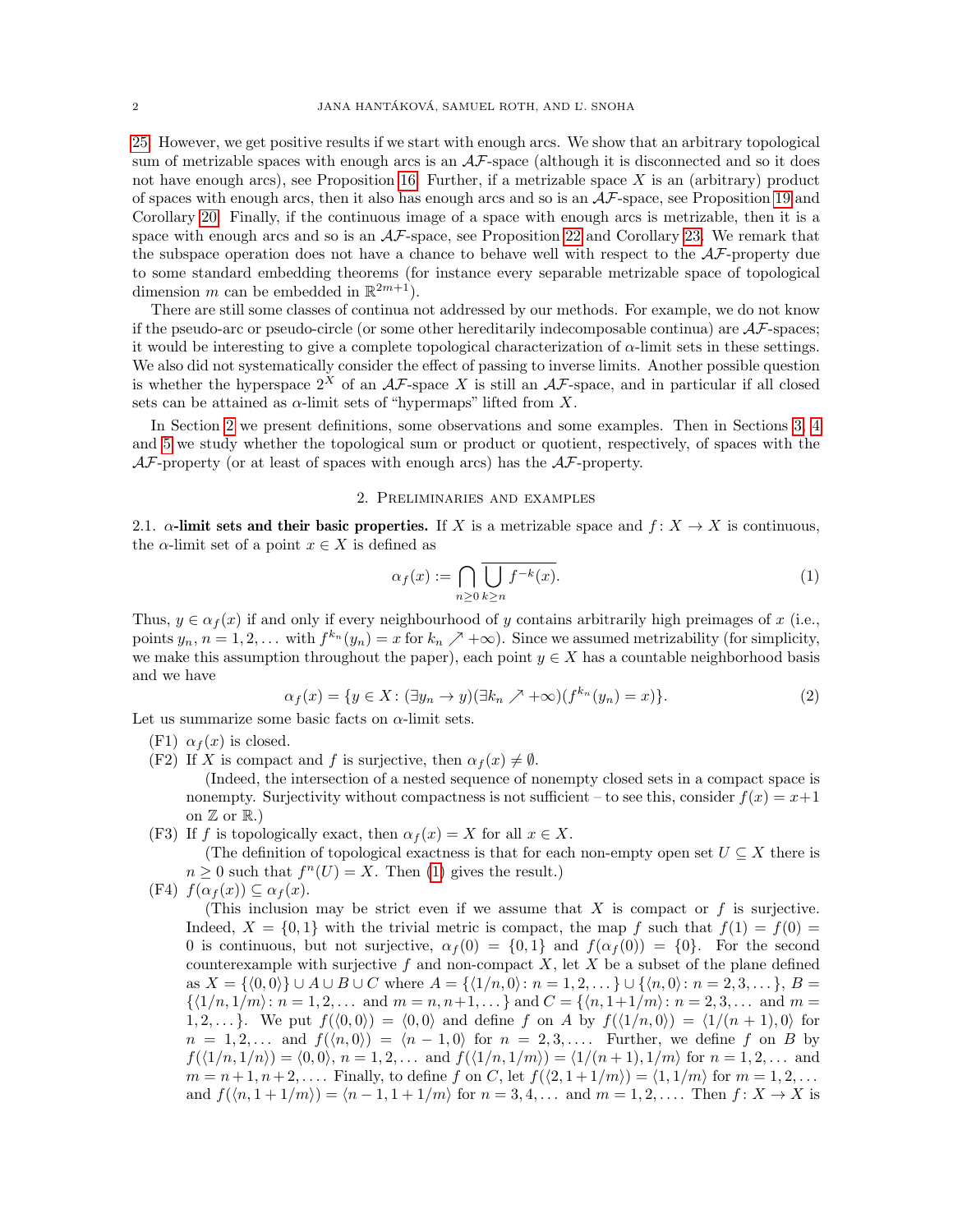[25.](#page-11-0) However, we get positive results if we start with enough arcs. We show that an arbitrary topological sum of metrizable spaces with enough arcs is an  $A\mathcal{F}$ -space (although it is disconnected and so it does not have enough arcs), see Proposition [16.](#page-7-0) Further, if a metrizable space  $X$  is an (arbitrary) product of spaces with enough arcs, then it also has enough arcs and so is an  $\mathcal{AF}\text{-space}$ , see Proposition [19](#page-9-1) and Corollary [20.](#page-9-2) Finally, if the continuous image of a space with enough arcs is metrizable, then it is a space with enough arcs and so is an  $A\mathcal{F}$ -space, see Proposition [22](#page-10-0) and Corollary [23.](#page-11-1) We remark that the subspace operation does not have a chance to behave well with respect to the  $A\mathcal{F}$ -property due to some standard embedding theorems (for instance every separable metrizable space of topological dimension m can be embedded in  $\mathbb{R}^{2m+1}$ .

There are still some classes of continua not addressed by our methods. For example, we do not know if the pseudo-arc or pseudo-circle (or some other hereditarily indecomposable continua) are  $A\mathcal{F}$ -spaces; it would be interesting to give a complete topological characterization of  $\alpha$ -limit sets in these settings. We also did not systematically consider the effect of passing to inverse limits. Another possible question is whether the hyperspace  $2^X$  of an  $A\mathcal{F}$ -space X is still an  $A\mathcal{F}$ -space, and in particular if all closed sets can be attained as  $\alpha$ -limit sets of "hypermaps" lifted from X.

In Section [2](#page-1-0) we present definitions, some observations and some examples. Then in Sections [3,](#page-7-1) [4](#page-9-3) and [5](#page-10-1) we study whether the topological sum or product or quotient, respectively, of spaces with the  $A\mathcal{F}$ -property (or at least of spaces with enough arcs) has the  $A\mathcal{F}$ -property.

### 2. Preliminaries and examples

<span id="page-1-0"></span>2.1.  $\alpha$ -limit sets and their basic properties. If X is a metrizable space and  $f: X \to X$  is continuous, the  $\alpha$ -limit set of a point  $x \in X$  is defined as

<span id="page-1-1"></span>
$$
\alpha_f(x) := \bigcap_{n \ge 0} \overline{\bigcup_{k \ge n} f^{-k}(x)}.
$$
\n(1)

Thus,  $y \in \alpha_f(x)$  if and only if every neighbourhood of y contains arbitrarily high preimages of x (i.e., points  $y_n$ ,  $n = 1, 2, ...$  with  $f^{k_n}(y_n) = x$  for  $k_n \nearrow +\infty$ ). Since we assumed metrizability (for simplicity, we make this assumption throughout the paper), each point  $y \in X$  has a countable neighborhood basis and we have

<span id="page-1-2"></span>
$$
\alpha_f(x) = \{ y \in X \colon (\exists y_n \to y)(\exists k_n \nearrow +\infty)(f^{k_n}(y_n) = x) \}. \tag{2}
$$

Let us summarize some basic facts on  $\alpha$ -limit sets.

- (F1)  $\alpha_f(x)$  is closed.
- (F2) If X is compact and f is surjective, then  $\alpha_f(x) \neq \emptyset$ .

(Indeed, the intersection of a nested sequence of nonempty closed sets in a compact space is nonempty. Surjectivity without compactness is not sufficient – to see this, consider  $f(x) = x+1$ on  $\mathbb Z$  or  $\mathbb R$ .)

(F3) If f is topologically exact, then  $\alpha_f(x) = X$  for all  $x \in X$ .

(The definition of topological exactness is that for each non-empty open set  $U \subseteq X$  there is  $n \geq 0$  such that  $f^{n}(U) = X$ . Then [\(1\)](#page-1-1) gives the result.)

(F4)  $f(\alpha_f(x)) \subseteq \alpha_f(x)$ .

(This inclusion may be strict even if we assume that  $X$  is compact or  $f$  is surjective. Indeed,  $X = \{0, 1\}$  with the trivial metric is compact, the map f such that  $f(1) = f(0)$ 0 is continuous, but not surjective,  $\alpha_f(0) = \{0,1\}$  and  $f(\alpha_f(0)) = \{0\}$ . For the second counterexample with surjective f and non-compact  $X$ , let  $X$  be a subset of the plane defined as  $X = \{(0, 0)\} \cup A \cup B \cup C$  where  $A = \{(1/n, 0): n = 1, 2, ...\} \cup \{(n, 0): n = 2, 3, ...\}$ ,  $B =$  $\{(1/n, 1/m): n = 1, 2, \ldots \text{ and } m = n, n+1, \ldots\}$  and  $C = \{(n, 1+1/m): n = 2, 3, \ldots \text{ and } m = 1, 2, \ldots\}$ 1, 2,... }. We put  $f(\langle 0, 0 \rangle) = \langle 0, 0 \rangle$  and define f on A by  $f(\langle 1/n, 0 \rangle) = \langle 1/(n + 1), 0 \rangle$  for  $n = 1, 2, \ldots$  and  $f(\langle n, 0 \rangle) = \langle n - 1, 0 \rangle$  for  $n = 2, 3, \ldots$  Further, we define f on B by  $f(\langle 1/n, 1/n \rangle) = \langle 0, 0 \rangle, n = 1, 2, \dots$  and  $f(\langle 1/n, 1/m \rangle) = \langle 1/(n + 1), 1/m \rangle$  for  $n = 1, 2, \dots$  and  $m = n + 1, n + 2, \ldots$ . Finally, to define f on C, let  $f(\langle 2, 1 + 1/m \rangle) = \langle 1, 1/m \rangle$  for  $m = 1, 2, \ldots$ . and  $f(\langle n, 1 + 1/m \rangle) = \langle n - 1, 1 + 1/m \rangle$  for  $n = 3, 4, \ldots$  and  $m = 1, 2, \ldots$ . Then  $f: X \to X$  is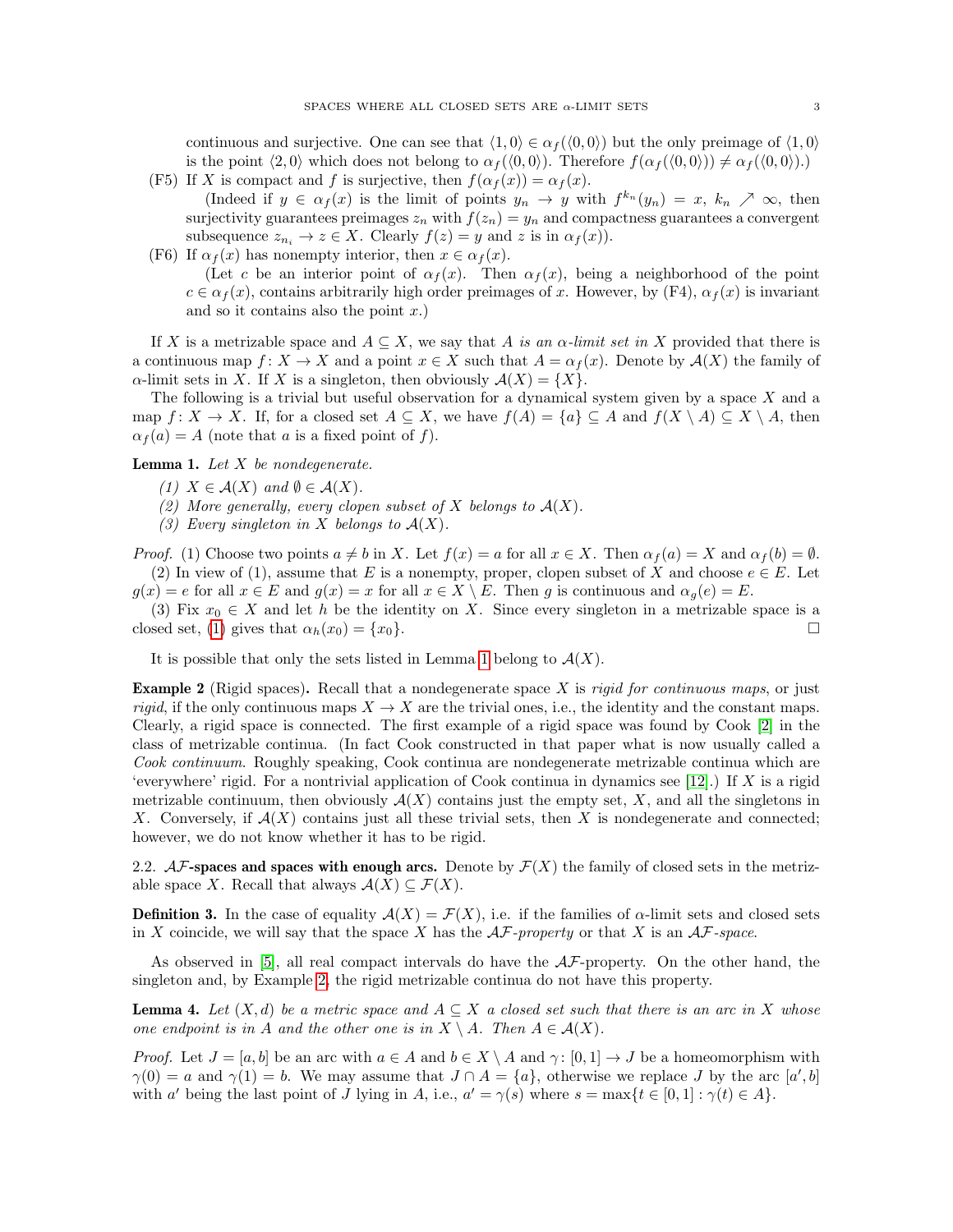continuous and surjective. One can see that  $\langle 1, 0 \rangle \in \alpha_f(\langle 0, 0 \rangle)$  but the only preimage of  $\langle 1, 0 \rangle$ is the point  $\langle 2, 0 \rangle$  which does not belong to  $\alpha_f(\langle 0, 0 \rangle)$ . Therefore  $f(\alpha_f(\langle 0, 0 \rangle)) \neq \alpha_f(\langle 0, 0 \rangle)$ .) (F5) If X is compact and f is surjective, then  $f(\alpha_f(x)) = \alpha_f(x)$ .

- (Indeed if  $y \in \alpha_f(x)$  is the limit of points  $y_n \to y$  with  $f^{k_n}(y_n) = x, k_n \nearrow \infty$ , then surjectivity guarantees preimages  $z_n$  with  $f(z_n) = y_n$  and compactness guarantees a convergent subsequence  $z_{n_i} \to z \in X$ . Clearly  $f(z) = y$  and z is in  $\alpha_f(x)$ ).
- (F6) If  $\alpha_f(x)$  has nonempty interior, then  $x \in \alpha_f(x)$ .

(Let c be an interior point of  $\alpha_f(x)$ . Then  $\alpha_f(x)$ , being a neighborhood of the point  $c \in \alpha_f(x)$ , contains arbitrarily high order preimages of x. However, by (F4),  $\alpha_f(x)$  is invariant and so it contains also the point  $x$ .)

If X is a metrizable space and  $A \subseteq X$ , we say that A is an  $\alpha$ -limit set in X provided that there is a continuous map  $f: X \to X$  and a point  $x \in X$  such that  $A = \alpha_f(x)$ . Denote by  $\mathcal{A}(X)$  the family of  $\alpha$ -limit sets in X. If X is a singleton, then obviously  $\mathcal{A}(X) = \{X\}.$ 

The following is a trivial but useful observation for a dynamical system given by a space  $X$  and a map  $f: X \to X$ . If, for a closed set  $A \subseteq X$ , we have  $f(A) = \{a\} \subseteq A$  and  $f(X \setminus A) \subseteq X \setminus A$ , then  $\alpha_f(a) = A$  (note that a is a fixed point of f).

<span id="page-2-0"></span>**Lemma 1.** Let  $X$  be nondegenerate.

- (1)  $X \in \mathcal{A}(X)$  and  $\emptyset \in \mathcal{A}(X)$ .
- (2) More generally, every clopen subset of X belongs to  $A(X)$ .
- (3) Every singleton in X belongs to  $A(X)$ .

*Proof.* (1) Choose two points  $a \neq b$  in X. Let  $f(x) = a$  for all  $x \in X$ . Then  $\alpha_f(a) = X$  and  $\alpha_f(b) = \emptyset$ . (2) In view of (1), assume that E is a nonempty, proper, clopen subset of X and choose  $e \in E$ . Let  $g(x) = e$  for all  $x \in E$  and  $g(x) = x$  for all  $x \in X \setminus E$ . Then g is continuous and  $\alpha_g(e) = E$ .

(3) Fix  $x_0 \in X$  and let h be the identity on X. Since every singleton in a metrizable space is a closed set, [\(1\)](#page-1-1) gives that  $\alpha_h(x_0) = \{x_0\}.$ 

It is possible that only the sets listed in Lemma [1](#page-2-0) belong to  $\mathcal{A}(X)$ .

<span id="page-2-1"></span>**Example 2** (Rigid spaces). Recall that a nondegenerate space X is *rigid for continuous maps*, or just *rigid*, if the only continuous maps  $X \to X$  are the trivial ones, i.e., the identity and the constant maps. Clearly, a rigid space is connected. The first example of a rigid space was found by Cook [\[2\]](#page-13-3) in the class of metrizable continua. (In fact Cook constructed in that paper what is now usually called a Cook continuum. Roughly speaking, Cook continua are nondegenerate metrizable continua which are 'everywhere' rigid. For a nontrivial application of Cook continua in dynamics see [\[12\]](#page-13-4).) If X is a rigid metrizable continuum, then obviously  $A(X)$  contains just the empty set, X, and all the singletons in X. Conversely, if  $\mathcal{A}(X)$  contains just all these trivial sets, then X is nondegenerate and connected; however, we do not know whether it has to be rigid.

2.2.  $\mathcal{AF}\text{-spaces}$  and spaces with enough arcs. Denote by  $\mathcal{F}(X)$  the family of closed sets in the metrizable space X. Recall that always  $\mathcal{A}(X) \subseteq \mathcal{F}(X)$ .

<span id="page-2-3"></span>**Definition 3.** In the case of equality  $\mathcal{A}(X) = \mathcal{F}(X)$ , i.e. if the families of  $\alpha$ -limit sets and closed sets in X coincide, we will say that the space X has the  $\mathcal{AF}\text{-property}$  or that X is an  $\mathcal{AF}\text{-space}$ .

As observed in  $[5]$ , all real compact intervals do have the  $A\mathcal{F}$ -property. On the other hand, the singleton and, by Example [2,](#page-2-1) the rigid metrizable continua do not have this property.

<span id="page-2-2"></span>**Lemma 4.** Let  $(X,d)$  be a metric space and  $A \subseteq X$  a closed set such that there is an arc in X whose one endpoint is in A and the other one is in  $X \setminus A$ . Then  $A \in \mathcal{A}(X)$ .

*Proof.* Let  $J = [a, b]$  be an arc with  $a \in A$  and  $b \in X \setminus A$  and  $\gamma : [0, 1] \to J$  be a homeomorphism with  $\gamma(0) = a$  and  $\gamma(1) = b$ . We may assume that  $J \cap A = \{a\}$ , otherwise we replace J by the arc  $[a', b]$ with a' being the last point of J lying in A, i.e.,  $a' = \gamma(s)$  where  $s = \max\{t \in [0,1] : \gamma(t) \in A\}.$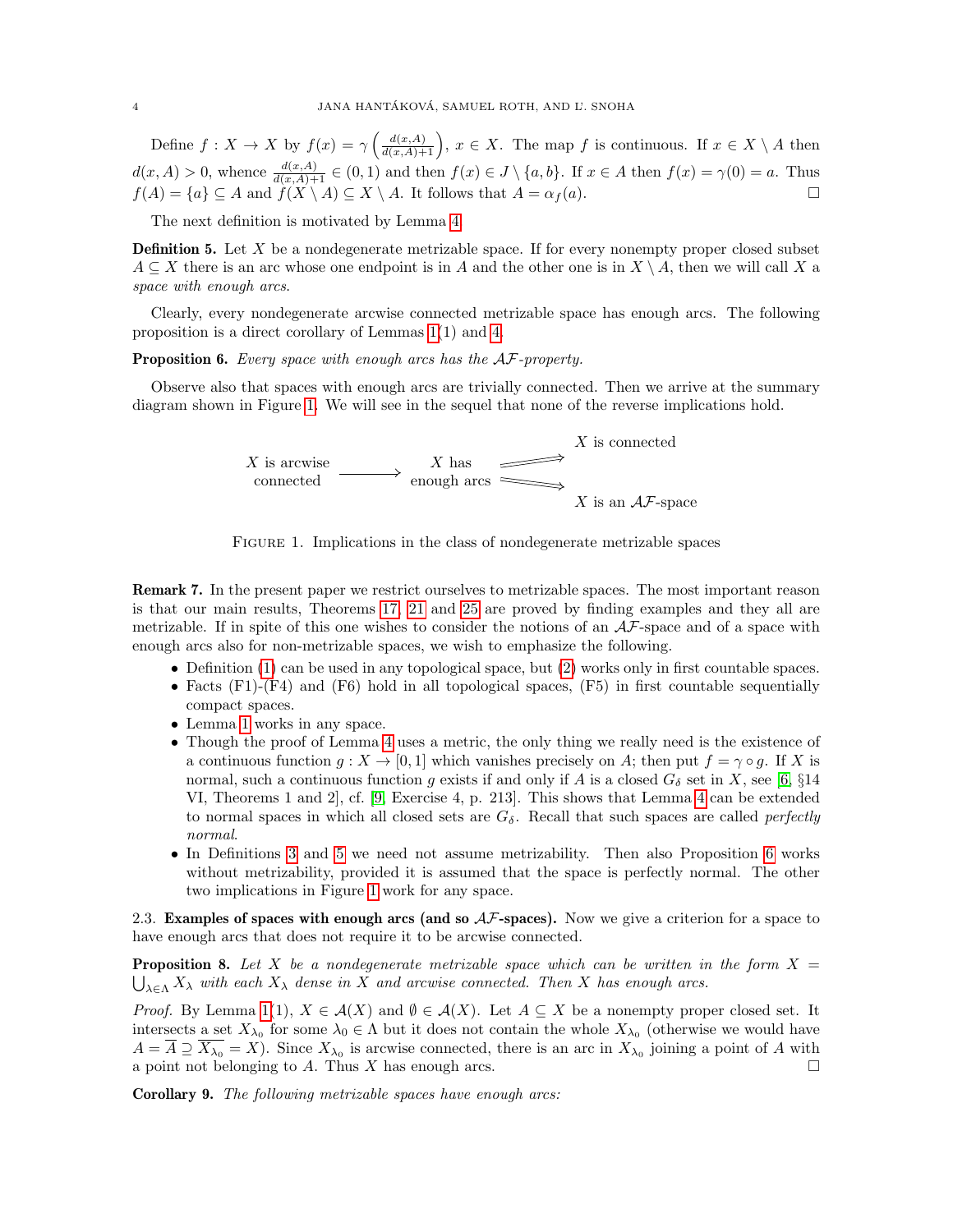Define  $f: X \to X$  by  $f(x) = \gamma \left( \frac{d(x,A)}{d(x,A)+1} \right)$ ,  $x \in X$ . The map f is continuous. If  $x \in X \setminus A$  then  $d(x, A) > 0$ , whence  $\frac{d(x, A)}{d(x, A) + 1} \in (0, 1)$  and then  $f(x) \in J \setminus \{a, b\}$ . If  $x \in A$  then  $f(x) = \gamma(0) = a$ . Thus  $f(A) = \{a\} \subseteq A$  and  $f(X \setminus A) \subseteq X \setminus A$ . It follows that  $A = \alpha_f(a)$ .

The next definition is motivated by Lemma [4.](#page-2-2)

<span id="page-3-1"></span>**Definition 5.** Let X be a nondegenerate metrizable space. If for every nonempty proper closed subset  $A \subseteq X$  there is an arc whose one endpoint is in A and the other one is in  $X \setminus A$ , then we will call X a space with enough arcs.

Clearly, every nondegenerate arcwise connected metrizable space has enough arcs. The following proposition is a direct corollary of Lemmas [1\(](#page-2-0)1) and [4.](#page-2-2)

### <span id="page-3-2"></span>Proposition 6. Every space with enough arcs has the  $A\mathcal{F}$ -property.

<span id="page-3-0"></span>Observe also that spaces with enough arcs are trivially connected. Then we arrive at the summary diagram shown in Figure [1.](#page-3-0) We will see in the sequel that none of the reverse implications hold.



Figure 1. Implications in the class of nondegenerate metrizable spaces

<span id="page-3-5"></span>Remark 7. In the present paper we restrict ourselves to metrizable spaces. The most important reason is that our main results, Theorems [17,](#page-8-0) [21](#page-9-0) and [25](#page-11-0) are proved by finding examples and they all are metrizable. If in spite of this one wishes to consider the notions of an  $A\mathcal{F}$ -space and of a space with enough arcs also for non-metrizable spaces, we wish to emphasize the following.

- Definition [\(1\)](#page-1-1) can be used in any topological space, but [\(2\)](#page-1-2) works only in first countable spaces.
- Facts  $(F1)-(F4)$  and  $(F6)$  hold in all topological spaces,  $(F5)$  in first countable sequentially compact spaces.
- Lemma [1](#page-2-0) works in any space.
- Though the proof of Lemma [4](#page-2-2) uses a metric, the only thing we really need is the existence of a continuous function  $g: X \to [0,1]$  which vanishes precisely on A; then put  $f = \gamma \circ g$ . If X is normal, such a continuous function g exists if and only if A is a closed  $G_{\delta}$  set in X, see [\[6,](#page-13-5) §14] VI, Theorems 1 and 2], cf. [\[9,](#page-13-6) Exercise 4, p. 213]. This shows that Lemma [4](#page-2-2) can be extended to normal spaces in which all closed sets are  $G_{\delta}$ . Recall that such spaces are called *perfectly* normal.
- In Definitions [3](#page-2-3) and [5](#page-3-1) we need not assume metrizability. Then also Proposition [6](#page-3-2) works without metrizability, provided it is assumed that the space is perfectly normal. The other two implications in Figure [1](#page-3-0) work for any space.

2.3. **Examples of spaces with enough arcs (and so**  $A\mathcal{F}$ **-spaces).** Now we give a criterion for a space to have enough arcs that does not require it to be arcwise connected.

<span id="page-3-3"></span>**Proposition 8.** Let X be a nondegenerate metrizable space which can be written in the form  $X =$  $\bigcup_{\lambda \in \Lambda} X_{\lambda}$  with each  $X_{\lambda}$  dense in X and arcwise connected. Then X has enough arcs.

*Proof.* By Lemma [1\(](#page-2-0)1),  $X \in \mathcal{A}(X)$  and  $\emptyset \in \mathcal{A}(X)$ . Let  $A \subseteq X$  be a nonempty proper closed set. It intersects a set  $X_{\lambda_0}$  for some  $\lambda_0 \in \Lambda$  but it does not contain the whole  $X_{\lambda_0}$  (otherwise we would have  $A = \overline{A} \supseteq \overline{X_{\lambda_0}} = X$ . Since  $X_{\lambda_0}$  is arcwise connected, there is an arc in  $X_{\lambda_0}$  joining a point of A with a point not belonging to A. Thus X has enough arcs.  $\square$ 

<span id="page-3-4"></span>Corollary 9. The following metrizable spaces have enough arcs: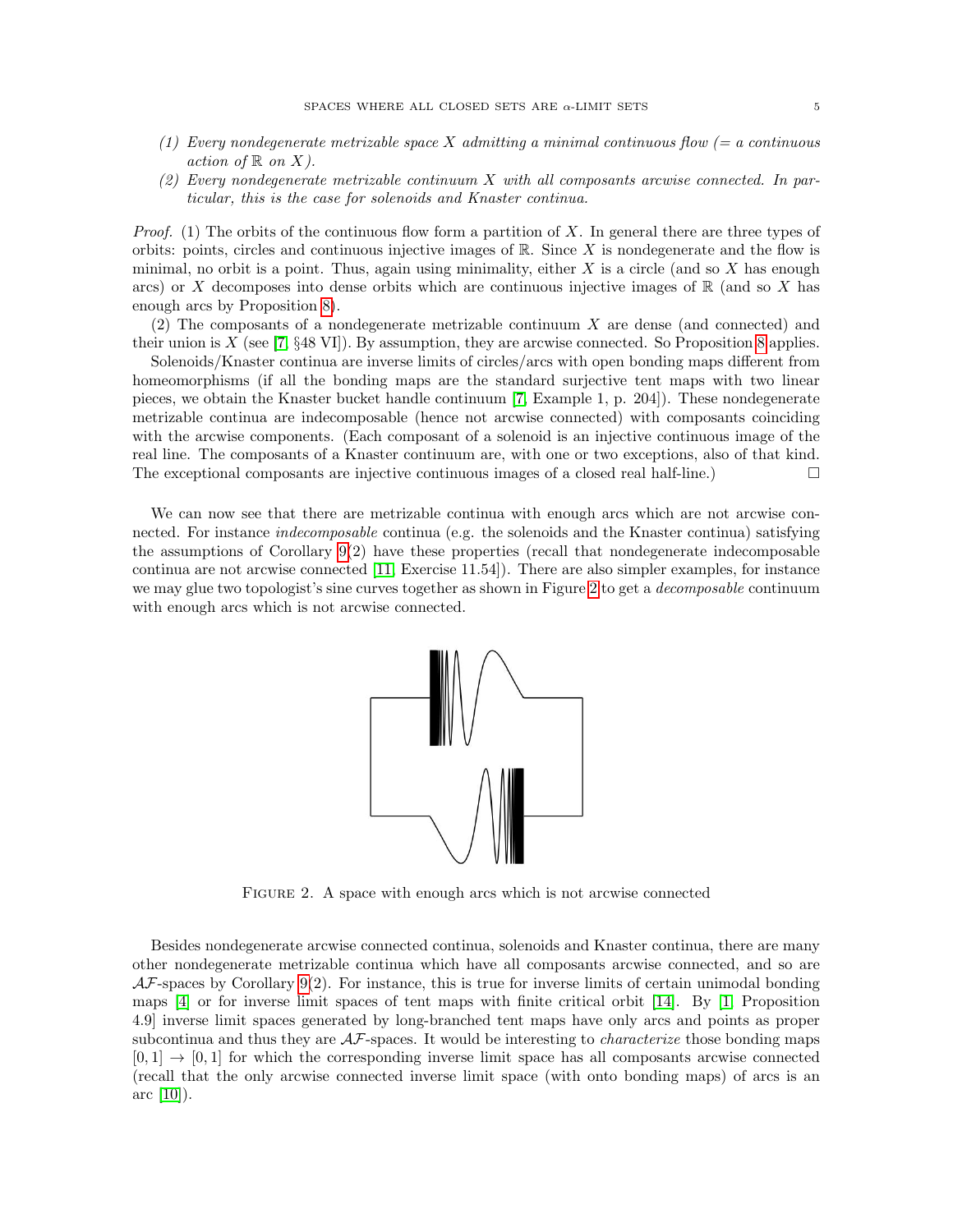- (1) Every nondegenerate metrizable space X admitting a minimal continuous flow  $(= a \text{ continuous})$ action of  $\mathbb R$  on  $X$ ).
- (2) Every nondegenerate metrizable continuum X with all composants arcwise connected. In particular, this is the case for solenoids and Knaster continua.

*Proof.* (1) The orbits of the continuous flow form a partition of X. In general there are three types of orbits: points, circles and continuous injective images of  $\mathbb{R}$ . Since X is nondegenerate and the flow is minimal, no orbit is a point. Thus, again using minimality, either X is a circle (and so X has enough arcs) or X decomposes into dense orbits which are continuous injective images of  $\mathbb R$  (and so X has enough arcs by Proposition [8\)](#page-3-3).

(2) The composants of a nondegenerate metrizable continuum X are dense (and connected) and their union is  $X$  (see [\[7,](#page-13-7) §48 VI]). By assumption, they are arcwise connected. So Proposition [8](#page-3-3) applies.

Solenoids/Knaster continua are inverse limits of circles/arcs with open bonding maps different from homeomorphisms (if all the bonding maps are the standard surjective tent maps with two linear pieces, we obtain the Knaster bucket handle continuum [\[7,](#page-13-7) Example 1, p. 204]). These nondegenerate metrizable continua are indecomposable (hence not arcwise connected) with composants coinciding with the arcwise components. (Each composant of a solenoid is an injective continuous image of the real line. The composants of a Knaster continuum are, with one or two exceptions, also of that kind. The exceptional composants are injective continuous images of a closed real half-line.)  $\Box$ 

<span id="page-4-0"></span>We can now see that there are metrizable continua with enough arcs which are not arcwise connected. For instance *indecomposable* continua (e.g. the solenoids and the Knaster continua) satisfying the assumptions of Corollary [9\(](#page-3-4)2) have these properties (recall that nondegenerate indecomposable continua are not arcwise connected [\[11,](#page-13-8) Exercise 11.54]). There are also simpler examples, for instance we may glue two topologist's sine curves together as shown in Figure [2](#page-4-0) to get a *decomposable* continuum with enough arcs which is not arcwise connected.



FIGURE 2. A space with enough arcs which is not arcwise connected

Besides nondegenerate arcwise connected continua, solenoids and Knaster continua, there are many other nondegenerate metrizable continua which have all composants arcwise connected, and so are  $\mathcal{AF}$ -spaces by Corollary [9\(](#page-3-4)2). For instance, this is true for inverse limits of certain unimodal bonding maps [\[4\]](#page-13-9) or for inverse limit spaces of tent maps with finite critical orbit [\[14\]](#page-13-10). By [\[1,](#page-13-11) Proposition 4.9] inverse limit spaces generated by long-branched tent maps have only arcs and points as proper subcontinua and thus they are  $A\mathcal{F}$ -spaces. It would be interesting to *characterize* those bonding maps  $[0,1] \rightarrow [0,1]$  for which the corresponding inverse limit space has all composants arcwise connected (recall that the only arcwise connected inverse limit space (with onto bonding maps) of arcs is an arc [\[10\]](#page-13-12)).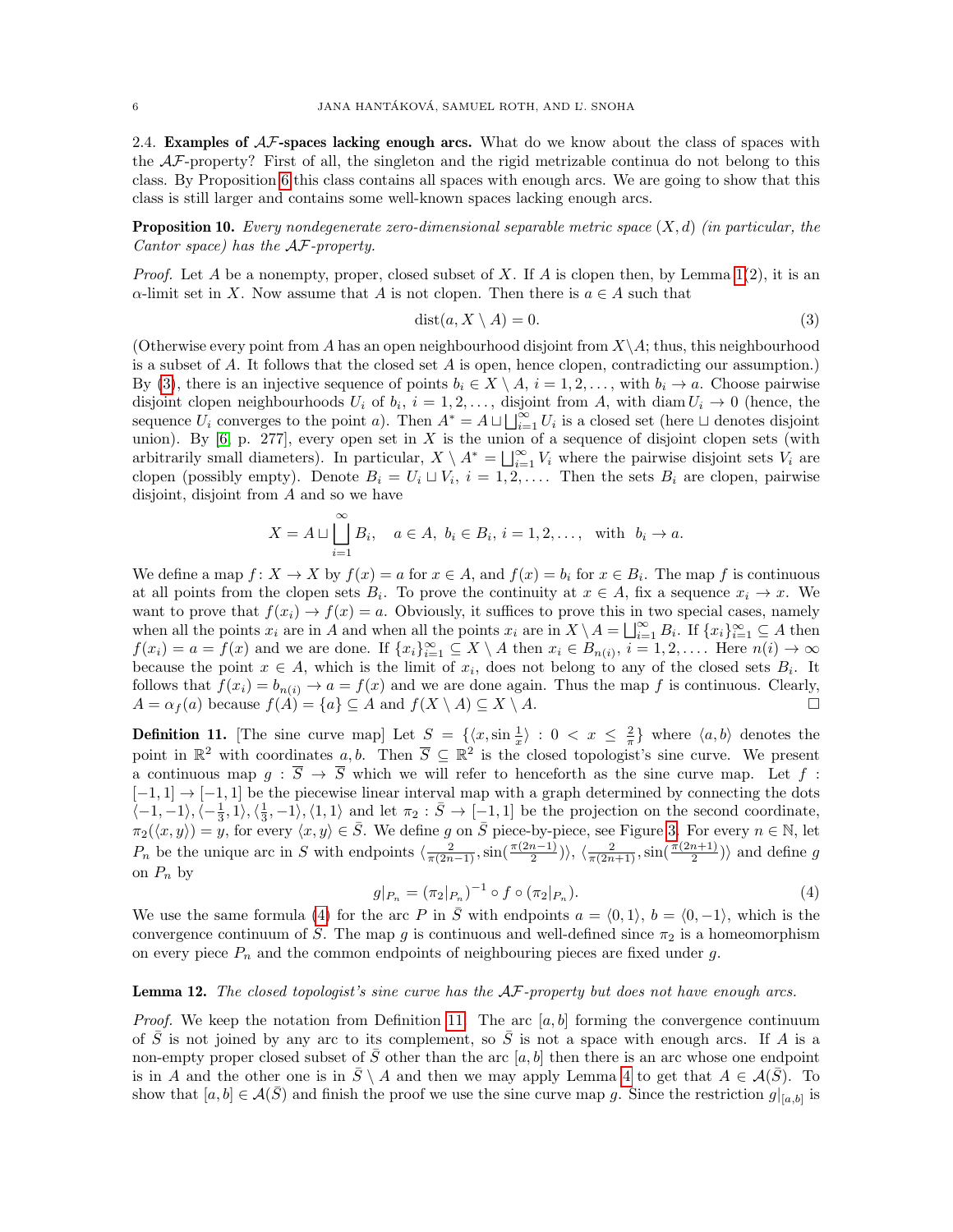2.4. **Examples of**  $AF$ **-spaces lacking enough arcs.** What do we know about the class of spaces with the AF-property? First of all, the singleton and the rigid metrizable continua do not belong to this class. By Proposition [6](#page-3-2) this class contains all spaces with enough arcs. We are going to show that this class is still larger and contains some well-known spaces lacking enough arcs.

**Proposition 10.** Every nondegenerate zero-dimensional separable metric space  $(X, d)$  (in particular, the Cantor space) has the AF-property.

*Proof.* Let A be a nonempty, proper, closed subset of X. If A is clopen then, by Lemma [1\(](#page-2-0)2), it is an  $\alpha$ -limit set in X. Now assume that A is not clopen. Then there is  $a \in A$  such that

<span id="page-5-0"></span>
$$
dist(a, X \setminus A) = 0. \tag{3}
$$

(Otherwise every point from A has an open neighbourhood disjoint from  $X\setminus A$ ; thus, this neighbourhood is a subset of A. It follows that the closed set A is open, hence clopen, contradicting our assumption.) By [\(3\)](#page-5-0), there is an injective sequence of points  $b_i \in X \setminus A$ ,  $i = 1, 2, \ldots$ , with  $b_i \to a$ . Choose pairwise disjoint clopen neighbourhoods  $U_i$  of  $b_i$ ,  $i = 1, 2, \ldots$ , disjoint from A, with diam  $U_i \rightarrow 0$  (hence, the sequence  $U_i$  converges to the point a). Then  $A^* = A \sqcup \bigcup_{i=1}^{\infty} U_i$  is a closed set (here  $\sqcup$  denotes disjoint union). By  $[6, p. 277]$  $[6, p. 277]$ , every open set in X is the union of a sequence of disjoint clopen sets (with arbitrarily small diameters). In particular,  $X \setminus A^* = \bigsqcup_{i=1}^{\infty} V_i$  where the pairwise disjoint sets  $V_i$  are clopen (possibly empty). Denote  $B_i = U_i \sqcup V_i$ ,  $i = 1, 2, \ldots$ . Then the sets  $B_i$  are clopen, pairwise disjoint, disjoint from A and so we have

$$
X = A \sqcup \bigsqcup_{i=1}^{\infty} B_i, \quad a \in A, \ b_i \in B_i, \ i = 1, 2, \dots, \text{ with } \ b_i \to a.
$$

We define a map  $f: X \to X$  by  $f(x) = a$  for  $x \in A$ , and  $f(x) = b_i$  for  $x \in B_i$ . The map f is continuous at all points from the clopen sets  $B_i$ . To prove the continuity at  $x \in A$ , fix a sequence  $x_i \to x$ . We want to prove that  $f(x_i) \to f(x) = a$ . Obviously, it suffices to prove this in two special cases, namely when all the points  $x_i$  are in A and when all the points  $x_i$  are in  $X \setminus A = \bigsqcup_{i=1}^{\infty} B_i$ . If  $\{x_i\}_{i=1}^{\infty} \subseteq A$  then  $f(x_i) = a = f(x)$  and we are done. If  $\{x_i\}_{i=1}^{\infty} \subseteq X \setminus A$  then  $x_i \in B_{n(i)}, i = 1, 2, \ldots$ . Here  $n(i) \to \infty$ because the point  $x \in A$ , which is the limit of  $x_i$ , does not belong to any of the closed sets  $B_i$ . It follows that  $f(x_i) = b_{n(i)} \rightarrow a = f(x)$  and we are done again. Thus the map f is continuous. Clearly,  $A = \alpha_f(a)$  because  $f(A) = \{a\} \subseteq A$  and  $f(X \setminus A) \subseteq X \setminus A$ .

<span id="page-5-2"></span>**Definition 11.** [The sine curve map] Let  $S = \{ \langle x, \sin \frac{1}{x} \rangle : 0 < x \leq \frac{2}{\pi} \}$  where  $\langle a, b \rangle$  denotes the point in  $\mathbb{R}^2$  with coordinates a, b. Then  $\overline{S} \subseteq \mathbb{R}^2$  is the closed topologist's sine curve. We present a continuous map  $g : \overline{S} \to \overline{S}$  which we will refer to henceforth as the sine curve map. Let f:  $[-1,1] \rightarrow [-1,1]$  be the piecewise linear interval map with a graph determined by connecting the dots  $\langle -1,-1\rangle, \langle -\frac{1}{3},1\rangle, \langle \frac{1}{3},-1\rangle, \langle 1,1\rangle$  and let  $\pi_2 : \overline{S} \to [-1,1]$  be the projection on the second coordinate,  $\pi_2(\langle x, y \rangle) = y$ , for every  $\langle x, y \rangle \in \overline{S}$ . We define g on  $\overline{S}$  piece-by-piece, see Figure [3.](#page-6-0) For every  $n \in \mathbb{N}$ , let  $P_n$  be the unique arc in S with endpoints  $\langle \frac{2}{\pi(2n-1)}, \sin(\frac{\pi(2n-1)}{2}) \rangle$ ,  $\langle \frac{2}{\pi(2n+1)}, \sin(\frac{\pi(2n+1)}{2}) \rangle$  and define g on  $P_n$  by

<span id="page-5-1"></span>
$$
g|_{P_n} = (\pi_2|_{P_n})^{-1} \circ f \circ (\pi_2|_{P_n}). \tag{4}
$$

We use the same formula [\(4\)](#page-5-1) for the arc P in  $\overline{S}$  with endpoints  $a = \langle 0, 1 \rangle, b = \langle 0, -1 \rangle$ , which is the convergence continuum of S. The map g is continuous and well-defined since  $\pi_2$  is a homeomorphism on every piece  $P_n$  and the common endpoints of neighbouring pieces are fixed under g.

# Lemma 12. The closed topologist's sine curve has the AF-property but does not have enough arcs.

*Proof.* We keep the notation from Definition [11.](#page-5-2) The arc  $[a, b]$  forming the convergence continuum of  $\overline{S}$  is not joined by any arc to its complement, so  $\overline{S}$  is not a space with enough arcs. If A is a non-empty proper closed subset of  $\overline{S}$  other than the arc [a, b] then there is an arc whose one endpoint is in A and the other one is in  $\bar{S} \setminus A$  and then we may apply Lemma [4](#page-2-2) to get that  $A \in \mathcal{A}(\bar{S})$ . To show that  $[a, b] \in \mathcal{A}(\bar{S})$  and finish the proof we use the sine curve map g. Since the restriction  $g|_{[a,b]}$  is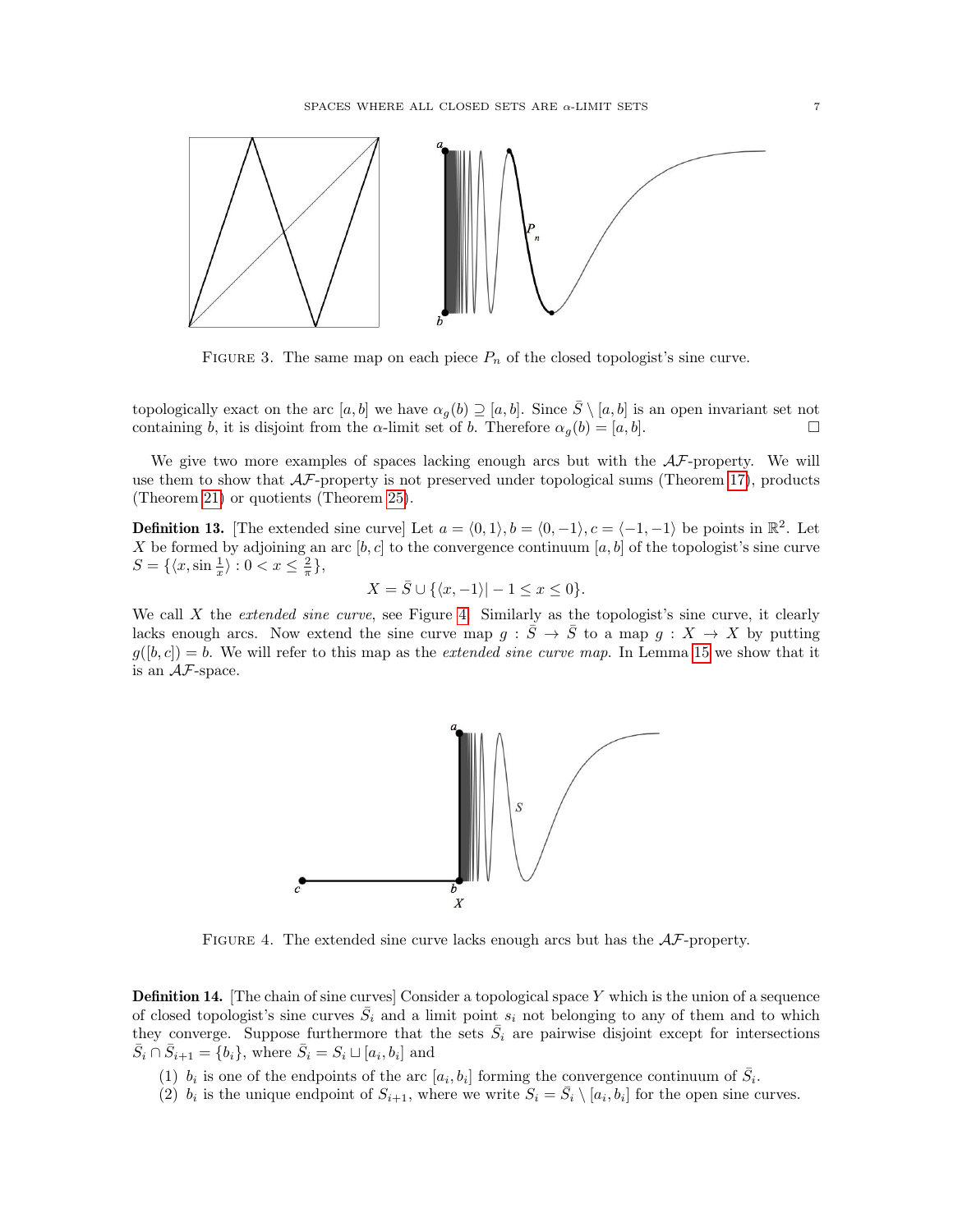<span id="page-6-0"></span>

FIGURE 3. The same map on each piece  $P_n$  of the closed topologist's sine curve.

topologically exact on the arc  $[a, b]$  we have  $\alpha_g(b) \supseteq [a, b]$ . Since  $\overline{S} \setminus [a, b]$  is an open invariant set not containing b, it is disjoint from the  $\alpha$ -limit set of b. Therefore  $\alpha_g(b) = [a, b]$ .

We give two more examples of spaces lacking enough arcs but with the  $A\mathcal{F}$ -property. We will use them to show that  $\mathcal{AF}$ -property is not preserved under topological sums (Theorem [17\)](#page-8-0), products (Theorem [21\)](#page-9-0) or quotients (Theorem [25\)](#page-11-0).

<span id="page-6-2"></span>**Definition 13.** [The extended sine curve] Let  $a = \langle 0, 1 \rangle, b = \langle 0, -1 \rangle, c = \langle -1, -1 \rangle$  be points in  $\mathbb{R}^2$ . Let X be formed by adjoining an arc [b, c] to the convergence continuum [a, b] of the topologist's sine curve  $S = \{ \langle x, \sin \frac{1}{x} \rangle : 0 < x \leq \frac{2}{\pi} \},\$ 

$$
X = \overline{S} \cup \{ \langle x, -1 \rangle | -1 \le x \le 0 \}.
$$

<span id="page-6-1"></span>We call  $X$  the *extended sine curve*, see Figure [4.](#page-6-1) Similarly as the topologist's sine curve, it clearly lacks enough arcs. Now extend the sine curve map  $g : \overline{S} \to \overline{S}$  to a map  $g : X \to X$  by putting  $g([b, c]) = b$ . We will refer to this map as the *extended sine curve map*. In Lemma [15](#page-7-2) we show that it is an AF-space.



FIGURE 4. The extended sine curve lacks enough arcs but has the  $AF$ -property.

<span id="page-6-3"></span>Definition 14. [The chain of sine curves] Consider a topological space Y which is the union of a sequence of closed topologist's sine curves  $\overline{S}_i$  and a limit point  $s_i$  not belonging to any of them and to which they converge. Suppose furthermore that the sets  $\bar{S}_i$  are pairwise disjoint except for intersections  $\overline{S}_i \cap \overline{S}_{i+1} = \overline{\{b_i\}},$  where  $\overline{S}_i = S_i \sqcup [a_i, b_i]$  and

(1)  $b_i$  is one of the endpoints of the arc  $[a_i, b_i]$  forming the convergence continuum of  $\bar{S}_i$ .

(2)  $b_i$  is the unique endpoint of  $S_{i+1}$ , where we write  $S_i = \overline{S}_i \setminus [a_i, b_i]$  for the open sine curves.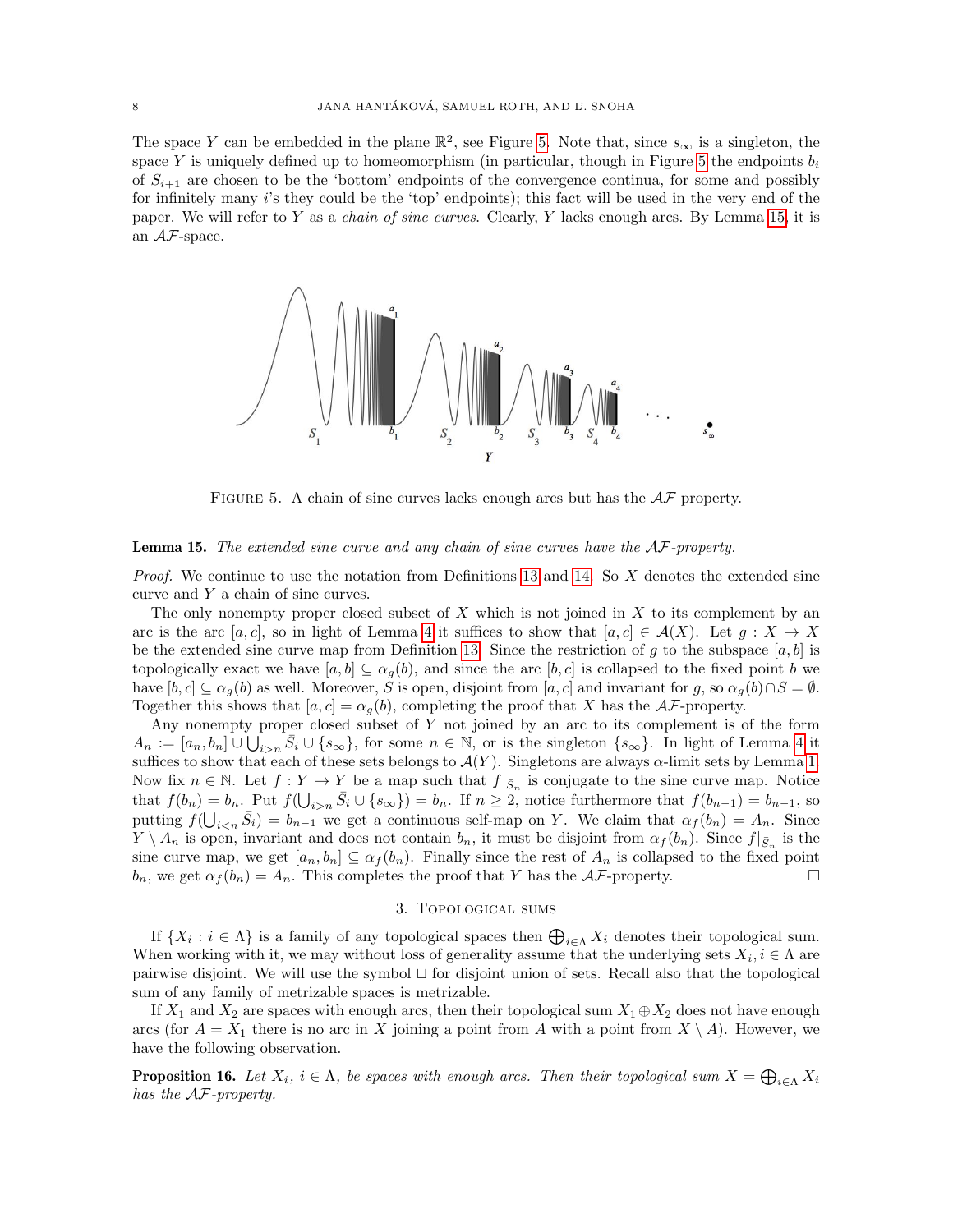The space Y can be embedded in the plane  $\mathbb{R}^2$ , see Figure [5.](#page-7-3) Note that, since  $s_{\infty}$  is a singleton, the space Y is uniquely defined up to homeomorphism (in particular, though in Figure [5](#page-7-3) the endpoints  $b_i$ of  $S_{i+1}$  are chosen to be the 'bottom' endpoints of the convergence continua, for some and possibly for infinitely many i's they could be the 'top' endpoints); this fact will be used in the very end of the paper. We will refer to Y as a *chain of sine curves*. Clearly, Y lacks enough arcs. By Lemma [15,](#page-7-2) it is an AF-space.

<span id="page-7-3"></span>

FIGURE 5. A chain of sine curves lacks enough arcs but has the  $A\mathcal{F}$  property.

## <span id="page-7-2"></span>Lemma 15. The extended sine curve and any chain of sine curves have the AF-property.

*Proof.* We continue to use the notation from Definitions [13](#page-6-2) and [14.](#page-6-3) So  $X$  denotes the extended sine curve and Y a chain of sine curves.

The only nonempty proper closed subset of  $X$  which is not joined in  $X$  to its complement by an arc is the arc [a, c], so in light of Lemma [4](#page-2-2) it suffices to show that  $[a, c] \in \mathcal{A}(X)$ . Let  $g: X \to X$ be the extended sine curve map from Definition [13.](#page-6-2) Since the restriction of g to the subspace  $[a, b]$  is topologically exact we have  $[a, b] \subseteq \alpha_g(b)$ , and since the arc  $[b, c]$  is collapsed to the fixed point b we have  $[b, c] \subseteq \alpha_q(b)$  as well. Moreover, S is open, disjoint from  $[a, c]$  and invariant for g, so  $\alpha_q(b) \cap S = \emptyset$ . Together this shows that  $[a, c] = \alpha_q(b)$ , completing the proof that X has the AF-property.

Any nonempty proper closed subset of Y not joined by an arc to its complement is of the form  $A_n := [a_n, b_n] \cup \bigcup_{i>n} \overline{S}_i \cup \{s_\infty\}$ , for some  $n \in \mathbb{N}$ , or is the singleton  $\{s_\infty\}$ . In light of Lemma [4](#page-2-2) it suffices to show that each of these sets belongs to  $\mathcal{A}(Y)$ . Singletons are always  $\alpha$ -limit sets by Lemma [1.](#page-2-0) Now fix  $n \in \mathbb{N}$ . Let  $f: Y \to Y$  be a map such that  $f|_{\bar{S}_n}$  is conjugate to the sine curve map. Notice that  $f(b_n) = b_n$ . Put  $f(\bigcup_{i>n} \overline{S}_i \cup \{s_\infty\}) = b_n$ . If  $n \geq 2$ , notice furthermore that  $f(b_{n-1}) = b_{n-1}$ , so putting  $f(\bigcup_{i\leq n} \bar{S}_i) = b_{n-1}$  we get a continuous self-map on Y. We claim that  $\alpha_f(b_n) = A_n$ . Since  $Y \setminus A_n$  is open, invariant and does not contain  $b_n$ , it must be disjoint from  $\alpha_f(b_n)$ . Since  $f|_{\bar{S}_n}$  is the sine curve map, we get  $[a_n, b_n] \subseteq \alpha_f(b_n)$ . Finally since the rest of  $A_n$  is collapsed to the fixed point  $b_n$ , we get  $\alpha_f(b_n) = A_n$ . This completes the proof that Y has the  $\mathcal{AF}$ -property.

## 3. Topological sums

<span id="page-7-1"></span>If  $\{X_i : i \in \Lambda\}$  is a family of any topological spaces then  $\bigoplus_{i \in \Lambda} X_i$  denotes their topological sum. When working with it, we may without loss of generality assume that the underlying sets  $X_i, i \in \Lambda$  are pairwise disjoint. We will use the symbol  $\sqcup$  for disjoint union of sets. Recall also that the topological sum of any family of metrizable spaces is metrizable.

If  $X_1$  and  $X_2$  are spaces with enough arcs, then their topological sum  $X_1 \oplus X_2$  does not have enough arcs (for  $A = X_1$  there is no arc in X joining a point from A with a point from  $X \setminus A$ ). However, we have the following observation.

<span id="page-7-0"></span>**Proposition 16.** Let  $X_i$ ,  $i \in \Lambda$ , be spaces with enough arcs. Then their topological sum  $X = \bigoplus_{i \in \Lambda} X_i$ has the AF-property.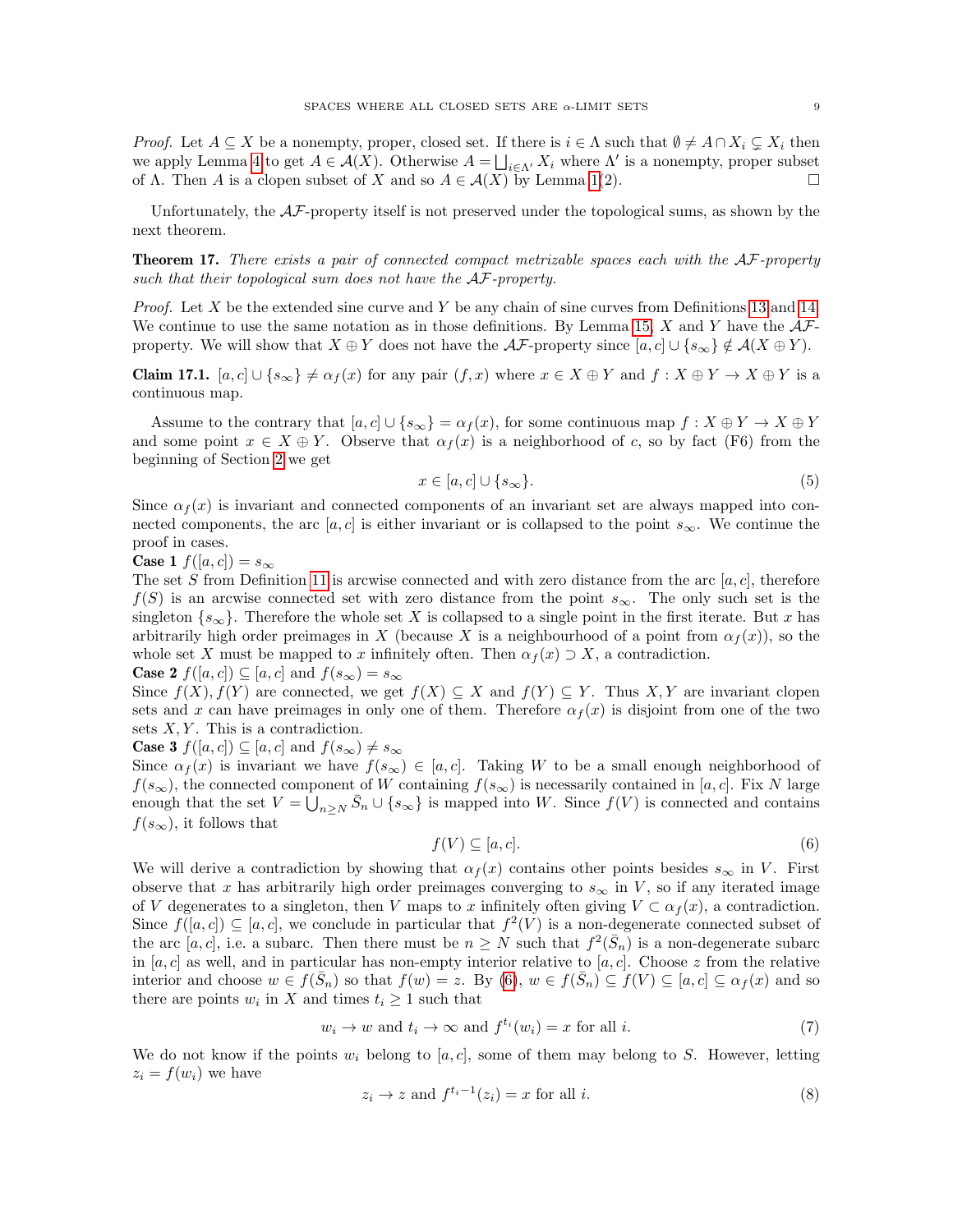*Proof.* Let  $A \subseteq X$  be a nonempty, proper, closed set. If there is  $i \in \Lambda$  such that  $\emptyset \neq A \cap X_i \subsetneq X_i$  then we apply Lemma [4](#page-2-2) to get  $A \in \mathcal{A}(X)$ . Otherwise  $A = \bigsqcup_{i \in \Lambda'} X_i$  where  $\Lambda'$  is a nonempty, proper subset of  $\Lambda$ . Then A is a clopen subset of X and so  $A \in \mathcal{A}(X)$  by Lemma [1\(](#page-2-0)2).

Unfortunately, the AF-property itself is not preserved under the topological sums, as shown by the next theorem.

<span id="page-8-0"></span>**Theorem 17.** There exists a pair of connected compact metrizable spaces each with the  $AF$ -property such that their topological sum does not have the  $\mathcal{AF}$ -property.

*Proof.* Let X be the extended sine curve and Y be any chain of sine curves from Definitions [13](#page-6-2) and [14.](#page-6-3) We continue to use the same notation as in those definitions. By Lemma [15,](#page-7-2) X and Y have the  $A\mathcal{F}$ property. We will show that  $X \oplus Y$  does not have the  $\mathcal{AF}$ -property since  $[a, c] \cup \{s_\infty\} \notin \mathcal{A}(X \oplus Y)$ .

<span id="page-8-5"></span>**Claim 17.1.**  $[a, c] \cup \{s_{\infty}\}\neq \alpha_f(x)$  for any pair  $(f, x)$  where  $x \in X \oplus Y$  and  $f: X \oplus Y \to X \oplus Y$  is a continuous map.

Assume to the contrary that  $[a, c] \cup \{s_{\infty}\} = \alpha_{f}(x)$ , for some continuous map  $f: X \oplus Y \to X \oplus Y$ and some point  $x \in X \oplus Y$ . Observe that  $\alpha_f(x)$  is a neighborhood of c, so by fact (F6) from the beginning of Section [2](#page-1-0) we get

<span id="page-8-2"></span>
$$
x \in [a, c] \cup \{s_{\infty}\}.
$$
\n<sup>(5)</sup>

Since  $\alpha_f(x)$  is invariant and connected components of an invariant set are always mapped into connected components, the arc [a, c] is either invariant or is collapsed to the point  $s_{\infty}$ . We continue the proof in cases.

**Case 1**  $f([a, c]) = s_{\infty}$ 

The set S from Definition [11](#page-5-2) is arcwise connected and with zero distance from the arc  $[a, c]$ , therefore  $f(S)$  is an arcwise connected set with zero distance from the point  $s_{\infty}$ . The only such set is the singleton  $\{s_{\infty}\}\$ . Therefore the whole set X is collapsed to a single point in the first iterate. But x has arbitrarily high order preimages in X (because X is a neighbourhood of a point from  $\alpha_f(x)$ ), so the whole set X must be mapped to x infinitely often. Then  $\alpha_f(x) \supset X$ , a contradiction.

**Case 2**  $f([a, c]) \subseteq [a, c]$  and  $f(s_{\infty}) = s_{\infty}$ 

Since  $f(X)$ ,  $f(Y)$  are connected, we get  $f(X) \subseteq X$  and  $f(Y) \subseteq Y$ . Thus X, Y are invariant clopen sets and x can have preimages in only one of them. Therefore  $\alpha_f(x)$  is disjoint from one of the two sets  $X, Y$ . This is a contradiction.

**Case 3**  $f([a, c]) \subseteq [a, c]$  and  $f(s_{\infty}) \neq s_{\infty}$ 

Since  $\alpha_f(x)$  is invariant we have  $f(s_\infty) \in [a, c]$ . Taking W to be a small enough neighborhood of  $f(s_{\infty})$ , the connected component of W containing  $f(s_{\infty})$  is necessarily contained in [a, c]. Fix N large enough that the set  $V = \bigcup_{n \geq N} \bar{S}_n \cup \{s_\infty\}$  is mapped into W. Since  $f(V)$  is connected and contains  $f(s_{\infty})$ , it follows that

<span id="page-8-1"></span>
$$
f(V) \subseteq [a, c]. \tag{6}
$$

We will derive a contradiction by showing that  $\alpha_f(x)$  contains other points besides  $s_{\infty}$  in V. First observe that x has arbitrarily high order preimages converging to  $s_{\infty}$  in V, so if any iterated image of V degenerates to a singleton, then V maps to x infinitely often giving  $V \subset \alpha_f(x)$ , a contradiction. Since  $f([a, c]) \subseteq [a, c]$ , we conclude in particular that  $f^2(V)$  is a non-degenerate connected subset of the arc  $[a, c]$ , i.e. a subarc. Then there must be  $n \geq N$  such that  $f^2(\bar{S}_n)$  is a non-degenerate subarc in  $[a, c]$  as well, and in particular has non-empty interior relative to  $[a, c]$ . Choose z from the relative interior and choose  $w \in f(\bar{S}_n)$  so that  $f(w) = z$ . By  $(6)$ ,  $w \in f(\bar{S}_n) \subseteq f(V) \subseteq [a, c] \subseteq \alpha_f(x)$  and so there are points  $w_i$  in X and times  $t_i \geq 1$  such that

<span id="page-8-3"></span>
$$
w_i \to w \text{ and } t_i \to \infty \text{ and } f^{t_i}(w_i) = x \text{ for all } i. \tag{7}
$$

We do not know if the points  $w_i$  belong to [a, c], some of them may belong to S. However, letting  $z_i = f(w_i)$  we have

<span id="page-8-4"></span>
$$
z_i \to z \text{ and } f^{t_i - 1}(z_i) = x \text{ for all } i. \tag{8}
$$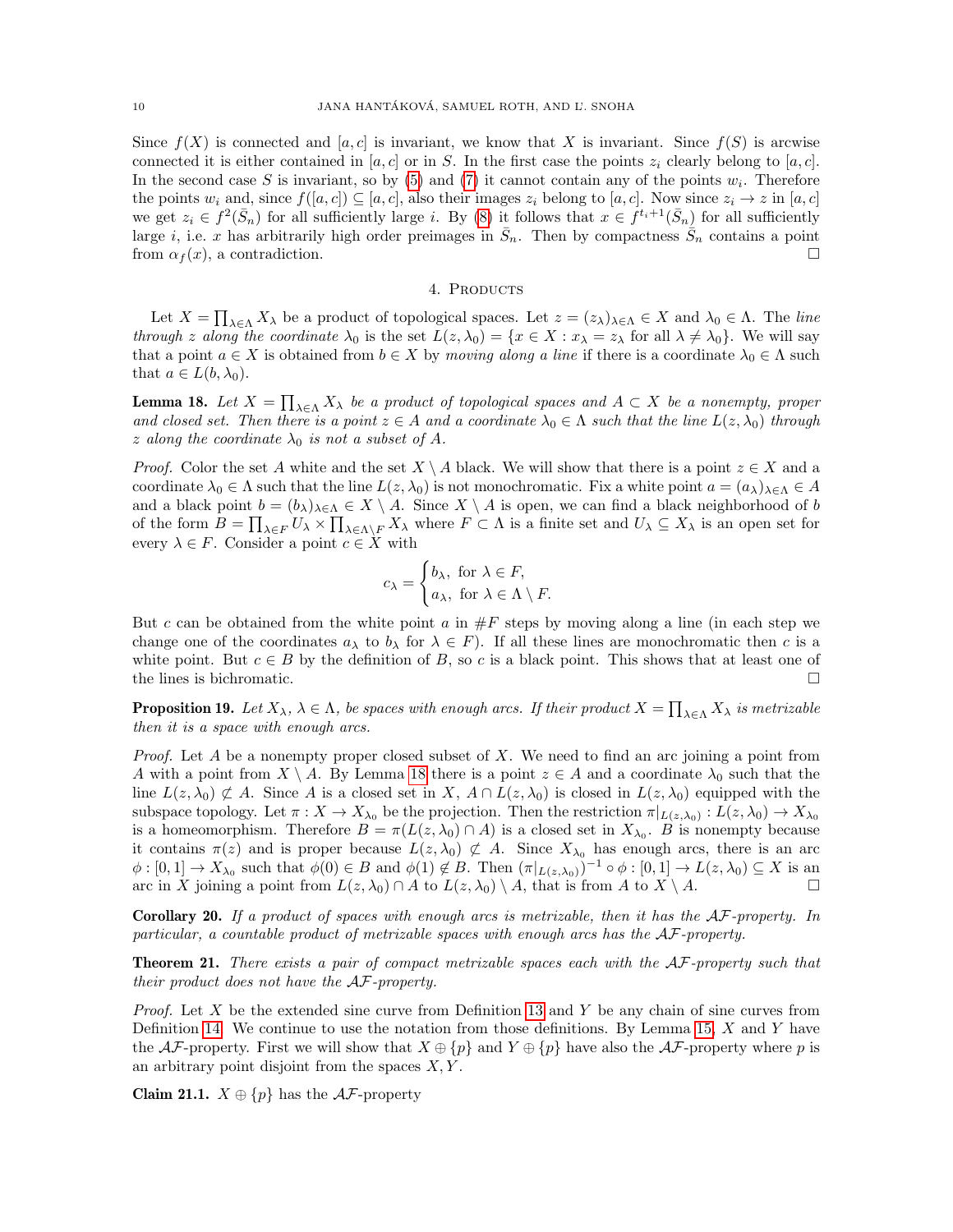Since  $f(X)$  is connected and [a, c] is invariant, we know that X is invariant. Since  $f(S)$  is arcwise connected it is either contained in [a, c] or in S. In the first case the points  $z_i$  clearly belong to [a, c]. In the second case S is invariant, so by  $(5)$  and  $(7)$  it cannot contain any of the points  $w_i$ . Therefore the points  $w_i$  and, since  $f([a, c]) \subseteq [a, c]$ , also their images  $z_i$  belong to  $[a, c]$ . Now since  $z_i \to z$  in  $[a, c]$ we get  $z_i \in f^2(\bar{S}_n)$  for all sufficiently large i. By [\(8\)](#page-8-4) it follows that  $x \in f^{t_i+1}(\bar{S}_n)$  for all sufficiently large *i*, i.e. x has arbitrarily high order preimages in  $\bar{S}_n$ . Then by compactness  $\bar{S}_n$  contains a point from  $\alpha_f(x)$ , a contradiction.

### 4. PRODUCTS

<span id="page-9-3"></span>Let  $X = \prod_{\lambda \in \Lambda} X_{\lambda}$  be a product of topological spaces. Let  $z = (z_{\lambda})_{\lambda \in \Lambda} \in X$  and  $\lambda_0 \in \Lambda$ . The line through z along the coordinate  $\lambda_0$  is the set  $L(z, \lambda_0) = \{x \in X : x_\lambda = z_\lambda \text{ for all } \lambda \neq \lambda_0\}$ . We will say that a point  $a \in X$  is obtained from  $b \in X$  by moving along a line if there is a coordinate  $\lambda_0 \in \Lambda$  such that  $a \in L(b, \lambda_0)$ .

<span id="page-9-4"></span>**Lemma 18.** Let  $X = \prod_{\lambda \in \Lambda} X_{\lambda}$  be a product of topological spaces and  $A \subset X$  be a nonempty, proper and closed set. Then there is a point  $z \in A$  and a coordinate  $\lambda_0 \in \Lambda$  such that the line  $L(z, \lambda_0)$  through z along the coordinate  $\lambda_0$  is not a subset of A.

*Proof.* Color the set A white and the set  $X \setminus A$  black. We will show that there is a point  $z \in X$  and a coordinate  $\lambda_0 \in \Lambda$  such that the line  $L(z, \lambda_0)$  is not monochromatic. Fix a white point  $a = (a_\lambda)_{\lambda \in \Lambda} \in A$ and a black point  $b = (b_\lambda)_{\lambda \in \Lambda} \in X \setminus A$ . Since  $X \setminus A$  is open, we can find a black neighborhood of b of the form  $B = \prod_{\lambda \in F} U_{\lambda} \times \prod_{\lambda \in \Lambda \backslash F} X_{\lambda}$  where  $F \subset \Lambda$  is a finite set and  $U_{\lambda} \subseteq X_{\lambda}$  is an open set for every  $\lambda \in F$ . Consider a point  $c \in X$  with

$$
c_{\lambda} = \begin{cases} b_{\lambda}, \text{ for } \lambda \in F, \\ a_{\lambda}, \text{ for } \lambda \in \Lambda \setminus F. \end{cases}
$$

But c can be obtained from the white point a in  $\#F$  steps by moving along a line (in each step we change one of the coordinates  $a_{\lambda}$  to  $b_{\lambda}$  for  $\lambda \in F$ ). If all these lines are monochromatic then c is a white point. But  $c \in B$  by the definition of B, so c is a black point. This shows that at least one of the lines is bichromatic.

<span id="page-9-1"></span>**Proposition 19.** Let  $X_\lambda$ ,  $\lambda \in \Lambda$ , be spaces with enough arcs. If their product  $X = \prod_{\lambda \in \Lambda} X_\lambda$  is metrizable then it is a space with enough arcs.

*Proof.* Let A be a nonempty proper closed subset of X. We need to find an arc joining a point from A with a point from  $X \setminus A$ . By Lemma [18](#page-9-4) there is a point  $z \in A$  and a coordinate  $\lambda_0$  such that the line  $L(z, \lambda_0) \not\subset A$ . Since A is a closed set in X,  $A \cap L(z, \lambda_0)$  is closed in  $L(z, \lambda_0)$  equipped with the subspace topology. Let  $\pi: X \to X_{\lambda_0}$  be the projection. Then the restriction  $\pi|_{L(z,\lambda_0)}: L(z,\lambda_0) \to X_{\lambda_0}$ is a homeomorphism. Therefore  $B = \pi(L(z, \lambda_0) \cap A)$  is a closed set in  $X_{\lambda_0}$ . B is nonempty because it contains  $\pi(z)$  and is proper because  $L(z, \lambda_0) \not\subset A$ . Since  $X_{\lambda_0}$  has enough arcs, there is an arc  $\phi: [0,1] \to X_{\lambda_0}$  such that  $\phi(0) \in B$  and  $\phi(1) \notin B$ . Then  $(\pi|_{L(z,\lambda_0)})^{-1} \circ \phi: [0,1] \to L(z,\lambda_0) \subseteq X$  is an arc in X joining a point from  $L(z, \lambda_0) \cap A$  to  $L(z, \lambda_0) \setminus A$ , that is from A to  $X \setminus A$ .

<span id="page-9-2"></span>**Corollary 20.** If a product of spaces with enough arcs is metrizable, then it has the  $AF$ -property. In particular, a countable product of metrizable spaces with enough arcs has the AF-property.

<span id="page-9-0"></span>Theorem 21. There exists a pair of compact metrizable spaces each with the AF-property such that their product does not have the AF-property.

*Proof.* Let X be the extended sine curve from Definition [13](#page-6-2) and Y be any chain of sine curves from Definition [14.](#page-6-3) We continue to use the notation from those definitions. By Lemma [15,](#page-7-2)  $X$  and  $Y$  have the AF-property. First we will show that  $X \oplus \{p\}$  and  $Y \oplus \{p\}$  have also the AF-property where p is an arbitrary point disjoint from the spaces  $X, Y$ .

**Claim 21.1.**  $X \oplus \{p\}$  has the  $\mathcal{AF}$ -property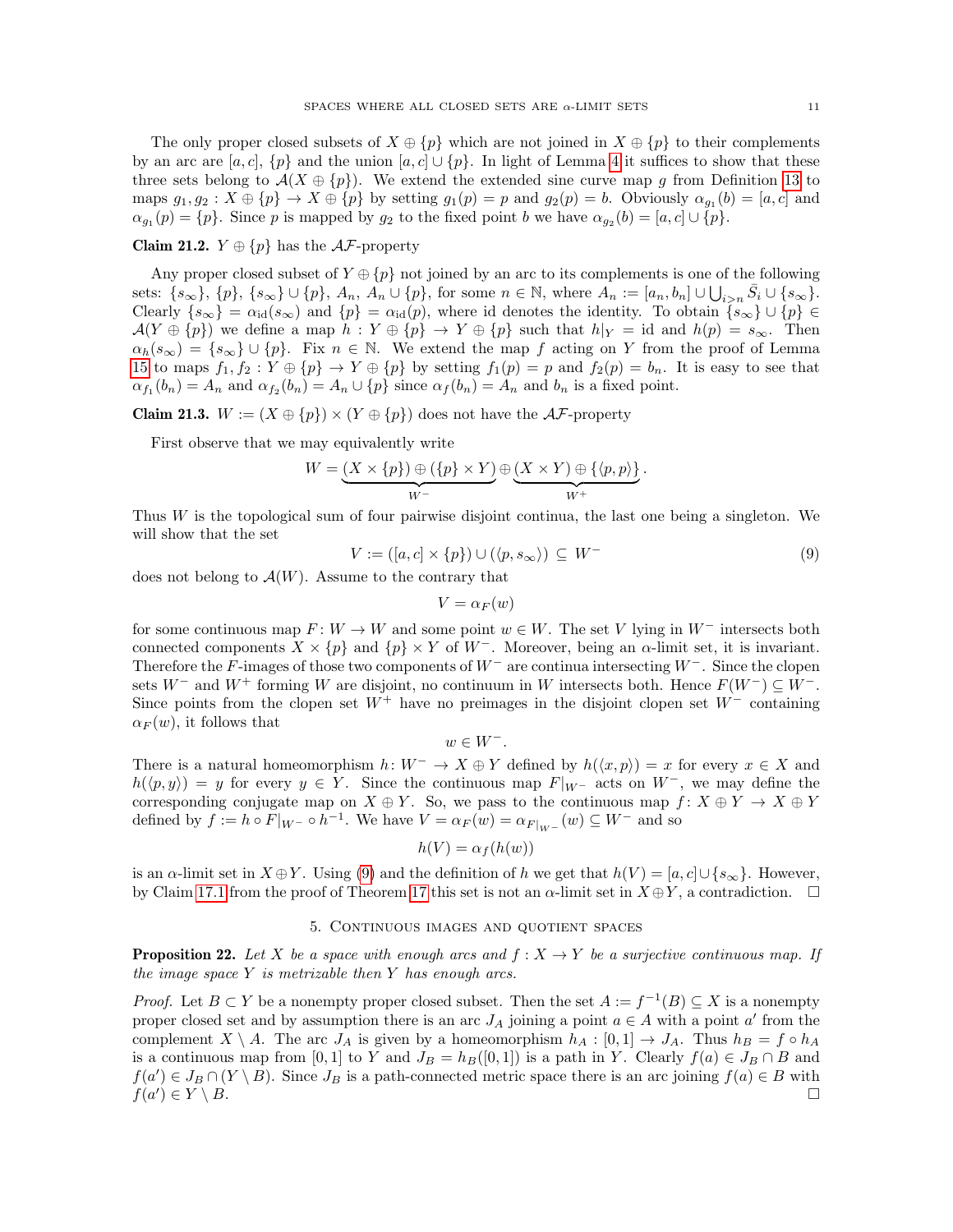The only proper closed subsets of  $X \oplus \{p\}$  which are not joined in  $X \oplus \{p\}$  to their complements by an arc are [a, c], {p} and the union  $[a, c] \cup \{p\}$ . In light of Lemma [4](#page-2-2) it suffices to show that these three sets belong to  $\mathcal{A}(X \oplus \{p\})$ . We extend the extended sine curve map g from Definition [13](#page-6-2) to maps  $g_1, g_2: X \oplus \{p\} \to X \oplus \{p\}$  by setting  $g_1(p) = p$  and  $g_2(p) = b$ . Obviously  $\alpha_{g_1}(b) = [a, c]$  and  $\alpha_{g_1}(p) = \{p\}.$  Since p is mapped by  $g_2$  to the fixed point b we have  $\alpha_{g_2}(b) = [a, c] \cup \{p\}.$ 

# Claim 21.2.  $Y \oplus \{p\}$  has the  $\mathcal{AF}$ -property

Any proper closed subset of  $Y \oplus \{p\}$  not joined by an arc to its complements is one of the following sets:  $\{s_{\infty}\}, \{p\}, \{s_{\infty}\} \cup \{p\}, A_n, A_n \cup \{p\}, \text{ for some } n \in \mathbb{N}, \text{ where } A_n := [a_n, b_n] \cup \bigcup_{i > n} \overline{S}_i \cup \{s_{\infty}\}.$ Clearly  $\{s_{\infty}\} = \alpha_{id}(s_{\infty})$  and  $\{p\} = \alpha_{id}(p)$ , where id denotes the identity. To obtain  $\{s_{\infty}\}\cup\{p\} \in$  $\mathcal{A}(Y \oplus \{p\})$  we define a map  $h: Y \oplus \{p\} \to Y \oplus \{p\}$  such that  $h|_Y = id$  and  $h(p) = s_{\infty}$ . Then  $\alpha_h(s_\infty) = \{s_\infty\} \cup \{p\}.$  Fix  $n \in \mathbb{N}$ . We extend the map f acting on Y from the proof of Lemma [15](#page-7-2) to maps  $f_1, f_2 : Y \oplus \{p\} \to Y \oplus \{p\}$  by setting  $f_1(p) = p$  and  $f_2(p) = b_n$ . It is easy to see that  $\alpha_{f_1}(b_n) = A_n$  and  $\alpha_{f_2}(b_n) = A_n \cup \{p\}$  since  $\alpha_f(b_n) = A_n$  and  $b_n$  is a fixed point.

**Claim 21.3.**  $W := (X \oplus \{p\}) \times (Y \oplus \{p\})$  does not have the  $\mathcal{AF}$ -property

First observe that we may equivalently write

$$
W = (X \times \{p\}) \oplus (\{p\} \times Y) \oplus (X \times Y) \oplus \{\langle p, p \rangle\}.
$$
  

$$
W^-
$$

Thus W is the topological sum of four pairwise disjoint continua, the last one being a singleton. We will show that the set

<span id="page-10-2"></span>
$$
V := ([a, c] \times \{p\}) \cup (\langle p, s_{\infty} \rangle) \subseteq W^-
$$
\n(9)

does not belong to  $\mathcal{A}(W)$ . Assume to the contrary that

$$
V = \alpha_F(w)
$$

for some continuous map  $F: W \to W$  and some point  $w \in W$ . The set V lying in  $W^-$  intersects both connected components  $X \times \{p\}$  and  $\{p\} \times Y$  of  $W^-$ . Moreover, being an  $\alpha$ -limit set, it is invariant. Therefore the F-images of those two components of  $W^-$  are continua intersecting  $W^-$ . Since the clopen sets W<sup>−</sup> and W<sup>+</sup> forming W are disjoint, no continuum in W intersects both. Hence  $F(W^-) \subseteq W^-$ . Since points from the clopen set  $W^+$  have no preimages in the disjoint clopen set  $W^-$  containing  $\alpha_F(w)$ , it follows that

 $w \in W^-$ .

There is a natural homeomorphism  $h: W^- \to X \oplus Y$  defined by  $h(\langle x, p \rangle) = x$  for every  $x \in X$  and  $h(\langle p, y \rangle) = y$  for every  $y \in Y$ . Since the continuous map  $F|_{W^-}$  acts on  $W^-$ , we may define the corresponding conjugate map on  $X \oplus Y$ . So, we pass to the continuous map  $f: X \oplus Y \to X \oplus Y$ defined by  $f := h \circ F|_{W^-} \circ h^{-1}$ . We have  $V = \alpha_F(w) = \alpha_{F|_{W^-}}(w) \subseteq W^-$  and so

$$
h(V) = \alpha_f(h(w))
$$

is an  $\alpha$ -limit set in  $X \oplus Y$ . Using [\(9\)](#page-10-2) and the definition of h we get that  $h(V) = [a, c] \cup \{s_{\infty}\}\.$  However, by Claim [17.1](#page-8-5) from the proof of Theorem [17](#page-8-0) this set is not an  $\alpha$ -limit set in  $X \oplus Y$ , a contradiction.  $\Box$ 

#### 5. Continuous images and quotient spaces

<span id="page-10-1"></span><span id="page-10-0"></span>**Proposition 22.** Let X be a space with enough arcs and  $f : X \to Y$  be a surjective continuous map. If the image space  $Y$  is metrizable then  $Y$  has enough arcs.

*Proof.* Let  $B \subset Y$  be a nonempty proper closed subset. Then the set  $A := f^{-1}(B) \subseteq X$  is a nonempty proper closed set and by assumption there is an arc  $J_A$  joining a point  $a \in A$  with a point a' from the complement  $X \setminus A$ . The arc  $J_A$  is given by a homeomorphism  $h_A : [0,1] \to J_A$ . Thus  $h_B = f \circ h_A$ is a continuous map from [0, 1] to Y and  $J_B = h_B([0, 1])$  is a path in Y. Clearly  $f(a) \in J_B \cap B$  and  $f(a') \in J_B \cap (Y \setminus B)$ . Since  $J_B$  is a path-connected metric space there is an arc joining  $f(a) \in B$  with  $f(a)$  $(\Box) \in Y \setminus B.$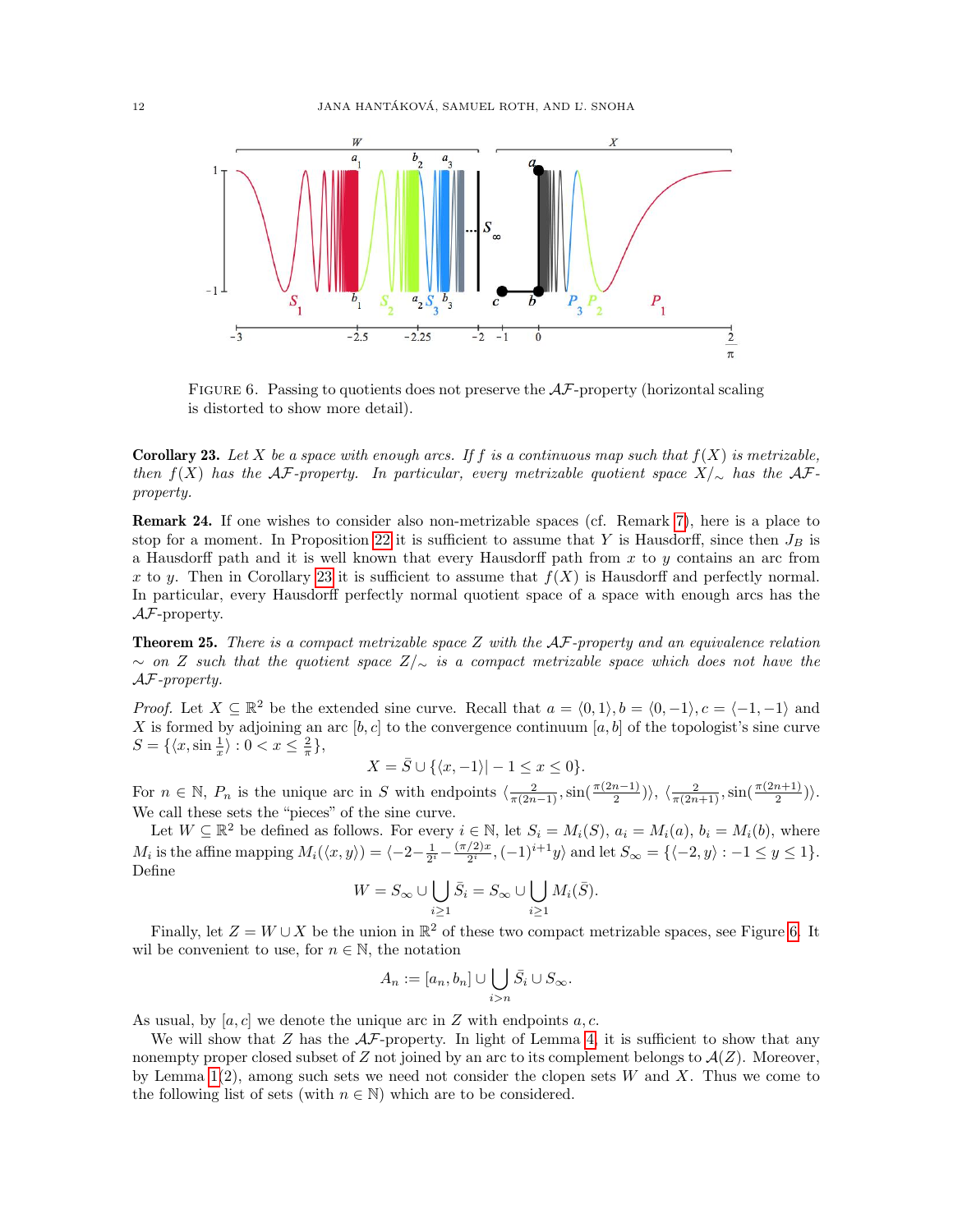<span id="page-11-2"></span>

FIGURE 6. Passing to quotients does not preserve the  $A\mathcal{F}$ -property (horizontal scaling is distorted to show more detail).

<span id="page-11-1"></span>**Corollary 23.** Let X be a space with enough arcs. If f is a continuous map such that  $f(X)$  is metrizable, then  $f(X)$  has the AF-property. In particular, every metrizable quotient space  $X/\sim$  has the AFproperty.

Remark 24. If one wishes to consider also non-metrizable spaces (cf. Remark [7\)](#page-3-5), here is a place to stop for a moment. In Proposition [22](#page-10-0) it is sufficient to assume that Y is Hausdorff, since then  $J_B$  is a Hausdorff path and it is well known that every Hausdorff path from  $x$  to  $y$  contains an arc from x to y. Then in Corollary [23](#page-11-1) it is sufficient to assume that  $f(X)$  is Hausdorff and perfectly normal. In particular, every Hausdorff perfectly normal quotient space of a space with enough arcs has the  $A\mathcal{F}$ -property.

<span id="page-11-0"></span>**Theorem 25.** There is a compact metrizable space  $Z$  with the  $AF$ -property and an equivalence relation  $\sim$  on Z such that the quotient space  $Z/\sim$  is a compact metrizable space which does not have the AF-property.

*Proof.* Let  $X \subseteq \mathbb{R}^2$  be the extended sine curve. Recall that  $a = \langle 0, 1 \rangle, b = \langle 0, -1 \rangle, c = \langle -1, -1 \rangle$  and X is formed by adjoining an arc [b, c] to the convergence continuum [a, b] of the topologist's sine curve  $S = \{ \langle x, \sin \frac{1}{x} \rangle : 0 < x \leq \frac{2}{\pi} \},\$ 

$$
X = \overline{S} \cup \{ \langle x, -1 \rangle | -1 \le x \le 0 \}.
$$

For  $n \in \mathbb{N}$ ,  $P_n$  is the unique arc in S with endpoints  $\langle \frac{2}{\pi(2n-1)}, \sin(\frac{\pi(2n-1)}{2}) \rangle$ ,  $\langle \frac{2}{\pi(2n+1)}, \sin(\frac{\pi(2n+1)}{2}) \rangle$ . We call these sets the "pieces" of the sine curve.

Let  $W \subseteq \mathbb{R}^2$  be defined as follows. For every  $i \in \mathbb{N}$ , let  $S_i = M_i(S)$ ,  $a_i = M_i(a)$ ,  $b_i = M_i(b)$ , where  $M_i$  is the affine mapping  $M_i(\langle x, y \rangle) = \langle -2 - \frac{1}{2^i} - \frac{(\pi/2)x}{2^i} \rangle$  $\frac{\langle 2 \rangle x}{2^i}, (-1)^{i+1} y \rangle$  and let  $S_{\infty} = \{ \langle -2, y \rangle : -1 \le y \le 1 \}.$ Define

$$
W = S_{\infty} \cup \bigcup_{i \geq 1} \bar{S}_i = S_{\infty} \cup \bigcup_{i \geq 1} M_i(\bar{S}).
$$

Finally, let  $Z = W \cup X$  be the union in  $\mathbb{R}^2$  of these two compact metrizable spaces, see Figure [6.](#page-11-2) It wil be convenient to use, for  $n \in \mathbb{N}$ , the notation

$$
A_n := [a_n, b_n] \cup \bigcup_{i > n} \overline{S}_i \cup S_{\infty}.
$$

As usual, by  $[a, c]$  we denote the unique arc in Z with endpoints a, c.

We will show that Z has the  $AF$ -property. In light of Lemma [4,](#page-2-2) it is sufficient to show that any nonempty proper closed subset of Z not joined by an arc to its complement belongs to  $\mathcal{A}(Z)$ . Moreover, by Lemma  $1(2)$ , among such sets we need not consider the clopen sets W and X. Thus we come to the following list of sets (with  $n \in \mathbb{N}$ ) which are to be considered.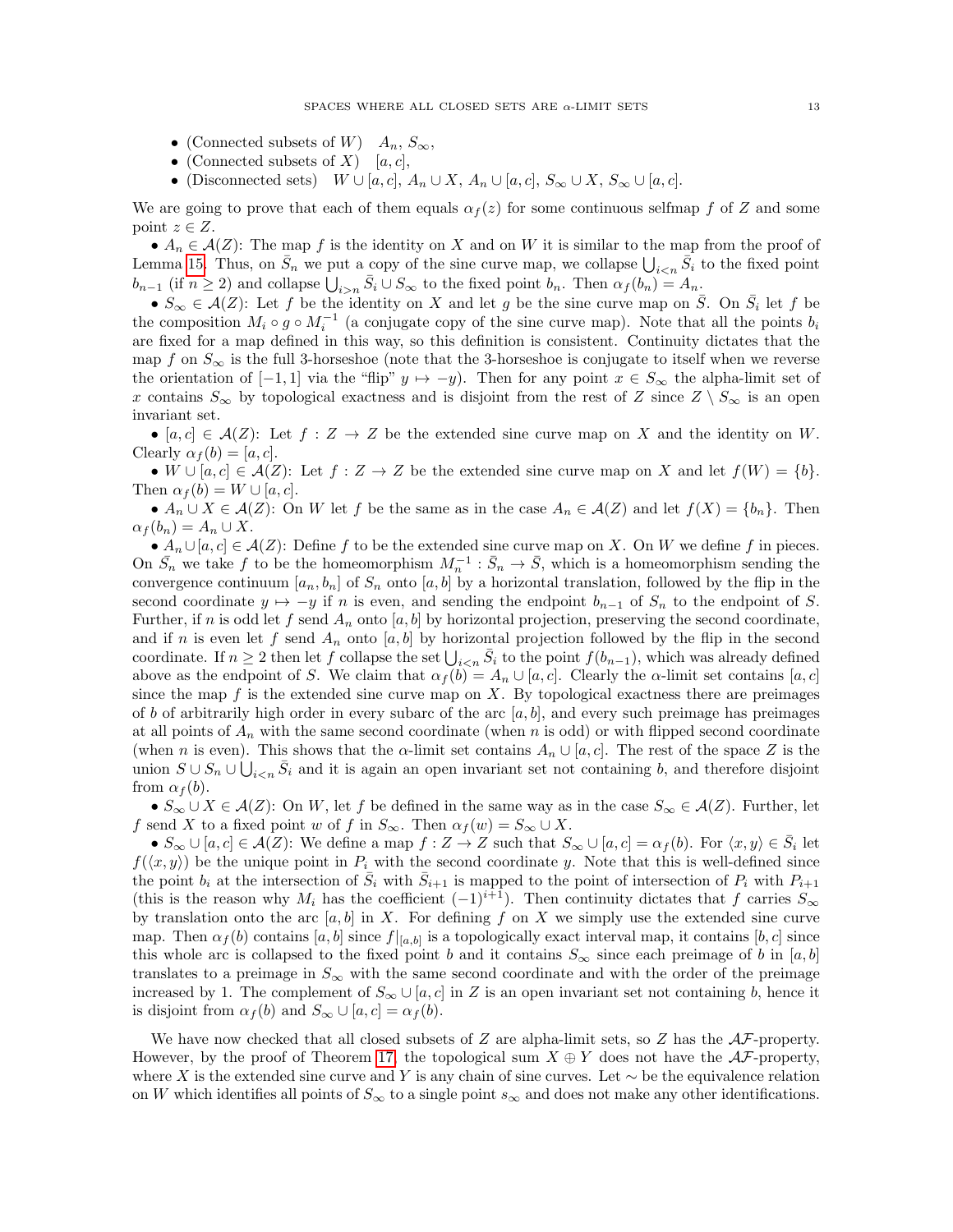- (Connected subsets of W)  $A_n$ ,  $S_\infty$ ,
- (Connected subsets of X) [a, c],
- (Disconnected sets)  $W \cup [a, c], A_n \cup X, A_n \cup [a, c], S_\infty \cup X, S_\infty \cup [a, c].$

We are going to prove that each of them equals  $\alpha_f(z)$  for some continuous selfmap f of Z and some point  $z \in Z$ .

•  $A_n \in \mathcal{A}(Z)$ : The map f is the identity on X and on W it is similar to the map from the proof of Lemma [15.](#page-7-2) Thus, on  $\bar{S}_n$  we put a copy of the sine curve map, we collapse  $\bigcup_{i\leq n}\bar{S}_i$  to the fixed point  $b_{n-1}$  (if  $n \ge 2$ ) and collapse  $\bigcup_{i>n} \bar{S}_i \cup S_{\infty}$  to the fixed point  $b_n$ . Then  $\alpha_f(b_n) = A_n$ .

•  $S_{\infty} \in \mathcal{A}(Z)$ : Let f be the identity on X and let g be the sine curve map on  $\overline{S}$ . On  $\overline{S}_i$  let f be the composition  $M_i \circ g \circ M_i^{-1}$  (a conjugate copy of the sine curve map). Note that all the points  $b_i$ are fixed for a map defined in this way, so this definition is consistent. Continuity dictates that the map f on  $S_{\infty}$  is the full 3-horseshoe (note that the 3-horseshoe is conjugate to itself when we reverse the orientation of  $[-1, 1]$  via the "flip"  $y \mapsto -y$ ). Then for any point  $x \in S_{\infty}$  the alpha-limit set of x contains  $S_{\infty}$  by topological exactness and is disjoint from the rest of Z since  $Z \setminus S_{\infty}$  is an open invariant set.

• [a, c]  $\in \mathcal{A}(Z)$ : Let  $f: Z \to Z$  be the extended sine curve map on X and the identity on W. Clearly  $\alpha_f(b) = [a, c]$ .

• W  $\cup$  [a, c]  $\in$  A(Z): Let  $f: Z \to Z$  be the extended sine curve map on X and let  $f(W) = \{b\}.$ Then  $\alpha_f(b) = W \cup [a, c]$ .

•  $A_n \cup X \in \mathcal{A}(Z)$ : On W let f be the same as in the case  $A_n \in \mathcal{A}(Z)$  and let  $f(X) = \{b_n\}$ . Then  $\alpha_f(b_n) = A_n \cup X.$ 

•  $A_n \cup [a, c] \in \mathcal{A}(Z)$ : Define f to be the extended sine curve map on X. On W we define f in pieces. On  $\bar{S}_n$  we take f to be the homeomorphism  $M_n^{-1}$ :  $\bar{S}_n \to \bar{S}$ , which is a homeomorphism sending the convergence continuum  $[a_n, b_n]$  of  $S_n$  onto  $[a, b]$  by a horizontal translation, followed by the flip in the second coordinate  $y \mapsto -y$  if n is even, and sending the endpoint  $b_{n-1}$  of  $S_n$  to the endpoint of S. Further, if n is odd let f send  $A_n$  onto [a, b] by horizontal projection, preserving the second coordinate, and if n is even let f send  $A_n$  onto [a, b] by horizontal projection followed by the flip in the second coordinate. If  $n \geq 2$  then let f collapse the set  $\bigcup_{i \leq n} \bar{S}_i$  to the point  $f(b_{n-1})$ , which was already defined above as the endpoint of S. We claim that  $\alpha_f(b) = A_n \cup [a, c]$ . Clearly the  $\alpha$ -limit set contains  $[a, c]$ since the map  $f$  is the extended sine curve map on  $X$ . By topological exactness there are preimages of b of arbitrarily high order in every subarc of the arc  $[a, b]$ , and every such preimage has preimages at all points of  $A_n$  with the same second coordinate (when n is odd) or with flipped second coordinate (when n is even). This shows that the  $\alpha$ -limit set contains  $A_n \cup [a, c]$ . The rest of the space Z is the union  $S \cup S_n \cup \bigcup_{i \leq n} \bar{S}_i$  and it is again an open invariant set not containing b, and therefore disjoint from  $\alpha_f(b)$ .

•  $S_{\infty} \cup X \in \mathcal{A}(Z)$ : On W, let f be defined in the same way as in the case  $S_{\infty} \in \mathcal{A}(Z)$ . Further, let f send X to a fixed point w of f in  $S_{\infty}$ . Then  $\alpha_f(w) = S_{\infty} \cup X$ .

•  $S_{\infty} \cup [a, c] \in \mathcal{A}(Z)$ : We define a map  $f: Z \to Z$  such that  $S_{\infty} \cup [a, c] = \alpha_{f}(b)$ . For  $\langle x, y \rangle \in \overline{S}_i$  let  $f(\langle x, y \rangle)$  be the unique point in  $P_i$  with the second coordinate y. Note that this is well-defined since the point  $b_i$  at the intersection of  $\overline{S}_i$  with  $\overline{S}_{i+1}$  is mapped to the point of intersection of  $P_i$  with  $P_{i+1}$ (this is the reason why  $M_i$  has the coefficient  $(-1)^{i+1}$ ). Then continuity dictates that f carries  $S_{\infty}$ by translation onto the arc  $[a, b]$  in X. For defining f on X we simply use the extended sine curve map. Then  $\alpha_f(b)$  contains  $[a, b]$  since  $f|_{[a, b]}$  is a topologically exact interval map, it contains  $[b, c]$  since this whole arc is collapsed to the fixed point b and it contains  $S_{\infty}$  since each preimage of b in [a, b] translates to a preimage in  $S_{\infty}$  with the same second coordinate and with the order of the preimage increased by 1. The complement of  $S_{\infty} \cup [a, c]$  in Z is an open invariant set not containing b, hence it is disjoint from  $\alpha_f(b)$  and  $S_\infty \cup [a, c] = \alpha_f(b)$ .

We have now checked that all closed subsets of Z are alpha-limit sets, so Z has the  $A\mathcal{F}$ -property. However, by the proof of Theorem [17,](#page-8-0) the topological sum  $X \oplus Y$  does not have the  $A\mathcal{F}$ -property, where X is the extended sine curve and Y is any chain of sine curves. Let  $\sim$  be the equivalence relation on W which identifies all points of  $S_{\infty}$  to a single point  $s_{\infty}$  and does not make any other identifications.